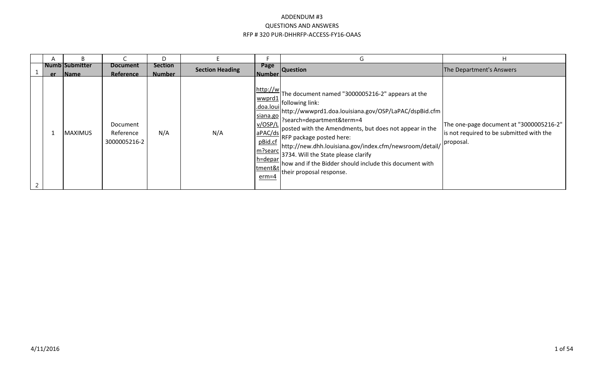|    | B.                                    |                                       | D                               |                        |                                                                                                                              | G                                                                                                                                                                                                                                                                                                                                                                                                                                          | Н                                                                                                |
|----|---------------------------------------|---------------------------------------|---------------------------------|------------------------|------------------------------------------------------------------------------------------------------------------------------|--------------------------------------------------------------------------------------------------------------------------------------------------------------------------------------------------------------------------------------------------------------------------------------------------------------------------------------------------------------------------------------------------------------------------------------------|--------------------------------------------------------------------------------------------------|
| er | <b>Numb</b> Submitter<br><b>IName</b> | <b>Document</b><br>Reference          | <b>Section</b><br><b>Number</b> | <b>Section Heading</b> | Page<br><b>Number</b>                                                                                                        | <b>Question</b>                                                                                                                                                                                                                                                                                                                                                                                                                            | The Department's Answers                                                                         |
|    | <b>MAXIMUS</b>                        | Document<br>Reference<br>3000005216-2 | N/A                             | N/A                    | http://w<br>wwprd1<br>.doa.loui<br>siana.go<br>V/OSP/L<br>aPAC/ds<br>pBid.cf<br>m?searc<br>$h =$ depar<br>tment&t<br>$erm=4$ | The document named "3000005216-2" appears at the<br>. following link:<br>http://wwwprd1.doa.louisiana.gov/OSP/LaPAC/dspBid.cfm<br>?search=department&term=4<br>posted with the Amendments, but does not appear in the<br>RFP package posted here:<br>http://new.dhh.louisiana.gov/index.cfm/newsroom/detail/<br>3734. Will the State please clarify<br>how and if the Bidder should include this document with<br>their proposal response. | The one-page document at "3000005216-2"<br>is not required to be submitted with the<br>proposal. |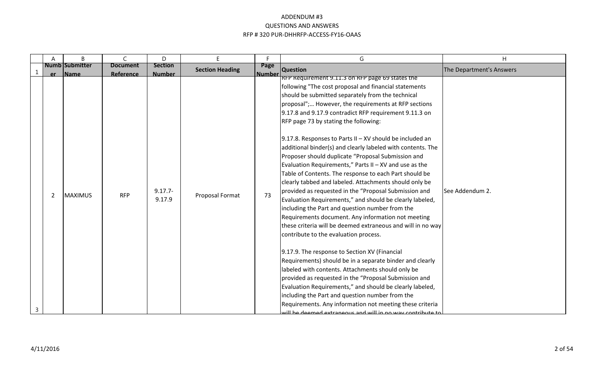|   | A              | B                                    | $\mathsf{C}$                 | D                               | E.                     | F.                    | G                                                                                                                                                                                                                                                                                                                                                                                                                                                                                                                                                                                                                                                                                                                                                                                                                                                                                                                                                                                                                                                                                                                                                                                                    | H                        |
|---|----------------|--------------------------------------|------------------------------|---------------------------------|------------------------|-----------------------|------------------------------------------------------------------------------------------------------------------------------------------------------------------------------------------------------------------------------------------------------------------------------------------------------------------------------------------------------------------------------------------------------------------------------------------------------------------------------------------------------------------------------------------------------------------------------------------------------------------------------------------------------------------------------------------------------------------------------------------------------------------------------------------------------------------------------------------------------------------------------------------------------------------------------------------------------------------------------------------------------------------------------------------------------------------------------------------------------------------------------------------------------------------------------------------------------|--------------------------|
|   | er             | <b>Numb Submitter</b><br><b>Name</b> | <b>Document</b><br>Reference | <b>Section</b><br><b>Number</b> | <b>Section Heading</b> | Page<br><b>Number</b> | <b>Question</b>                                                                                                                                                                                                                                                                                                                                                                                                                                                                                                                                                                                                                                                                                                                                                                                                                                                                                                                                                                                                                                                                                                                                                                                      | The Department's Answers |
|   | $\overline{2}$ | <b>MAXIMUS</b>                       | <b>RFP</b>                   | $9.17.7 -$<br>9.17.9            | Proposal Format        | 73                    | RFP Requirement 9.11.3 on RFP page 69 states the<br>following "The cost proposal and financial statements<br>should be submitted separately from the technical<br>proposal"; However, the requirements at RFP sections<br>9.17.8 and 9.17.9 contradict RFP requirement 9.11.3 on<br>RFP page 73 by stating the following:<br>9.17.8. Responses to Parts II $-$ XV should be included an<br>additional binder(s) and clearly labeled with contents. The<br>Proposer should duplicate "Proposal Submission and<br>Evaluation Requirements," Parts II $-$ XV and use as the<br>Table of Contents. The response to each Part should be<br>clearly tabbed and labeled. Attachments should only be<br>provided as requested in the "Proposal Submission and<br>Evaluation Requirements," and should be clearly labeled,<br>including the Part and question number from the<br>Requirements document. Any information not meeting<br>these criteria will be deemed extraneous and will in no way<br>contribute to the evaluation process.<br>9.17.9. The response to Section XV (Financial<br>Requirements) should be in a separate binder and clearly<br>labeled with contents. Attachments should only be | See Addendum 2.          |
|   |                |                                      |                              |                                 |                        |                       | provided as requested in the "Proposal Submission and<br>Evaluation Requirements," and should be clearly labeled,<br>including the Part and question number from the<br>Requirements. Any information not meeting these criteria                                                                                                                                                                                                                                                                                                                                                                                                                                                                                                                                                                                                                                                                                                                                                                                                                                                                                                                                                                     |                          |
| 3 |                |                                      |                              |                                 |                        |                       | a deemed extraneque and will in no way contribute to this                                                                                                                                                                                                                                                                                                                                                                                                                                                                                                                                                                                                                                                                                                                                                                                                                                                                                                                                                                                                                                                                                                                                            |                          |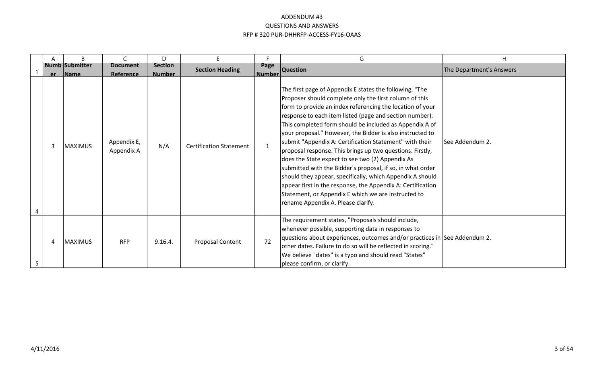| Α | B                                | $\mathsf{C}$                 | D                               | E.                             | п                     | G                                                                                                                                                                                                                                                                                                                                                                                                                                                                                                                                                                                                                                                                                                                                                                                                                                    | H                        |
|---|----------------------------------|------------------------------|---------------------------------|--------------------------------|-----------------------|--------------------------------------------------------------------------------------------------------------------------------------------------------------------------------------------------------------------------------------------------------------------------------------------------------------------------------------------------------------------------------------------------------------------------------------------------------------------------------------------------------------------------------------------------------------------------------------------------------------------------------------------------------------------------------------------------------------------------------------------------------------------------------------------------------------------------------------|--------------------------|
|   | <b>Numb Submitter</b><br>er Name | <b>Document</b><br>Reference | <b>Section</b><br><b>Number</b> | <b>Section Heading</b>         | Page<br><b>Number</b> | <b>Question</b>                                                                                                                                                                                                                                                                                                                                                                                                                                                                                                                                                                                                                                                                                                                                                                                                                      | The Department's Answers |
| 3 | <b>MAXIMUS</b>                   | Appendix E,<br>Appendix A    | N/A                             | <b>Certification Statement</b> | 1                     | The first page of Appendix E states the following, "The<br>Proposer should complete only the first column of this<br>form to provide an index referencing the location of your<br>response to each item listed (page and section number).<br>This completed form should be included as Appendix A of<br>your proposal." However, the Bidder is also instructed to<br>submit "Appendix A: Certification Statement" with their<br>proposal response. This brings up two questions. Firstly,<br>does the State expect to see two (2) Appendix As<br>submitted with the Bidder's proposal, if so, in what order<br>should they appear, specifically, which Appendix A should<br>appear first in the response, the Appendix A: Certification<br>Statement, or Appendix E which we are instructed to<br>rename Appendix A. Please clarify. | <b>See Addendum 2.</b>   |
| 4 | <b>MAXIMUS</b>                   | <b>RFP</b>                   | 9.16.4.                         | Proposal Content               | 72                    | The requirement states, "Proposals should include,<br>whenever possible, supporting data in responses to<br>questions about experiences, outcomes and/or practices in See Addendum 2.<br>other dates. Failure to do so will be reflected in scoring."<br>We believe "dates" is a typo and should read "States"<br>please confirm, or clarify.                                                                                                                                                                                                                                                                                                                                                                                                                                                                                        |                          |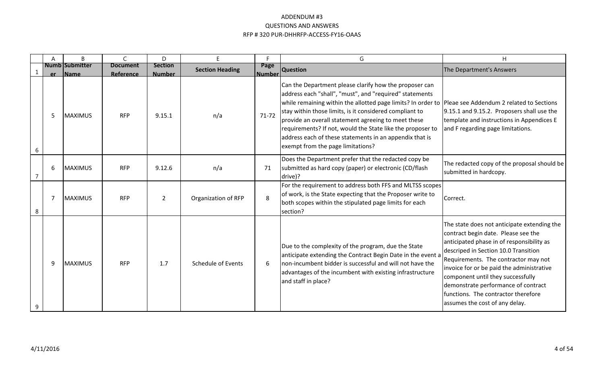|                | Α   | B                                    | $\mathsf{C}$                 | D                               | E                      | Е.                    | G                                                                                                                                                                                                                                                                                                                                                                                                                                                                                                          | H                                                                                                                                                                                                                                                                                                                                                                                                                 |
|----------------|-----|--------------------------------------|------------------------------|---------------------------------|------------------------|-----------------------|------------------------------------------------------------------------------------------------------------------------------------------------------------------------------------------------------------------------------------------------------------------------------------------------------------------------------------------------------------------------------------------------------------------------------------------------------------------------------------------------------------|-------------------------------------------------------------------------------------------------------------------------------------------------------------------------------------------------------------------------------------------------------------------------------------------------------------------------------------------------------------------------------------------------------------------|
|                | er. | <b>Numb Submitter</b><br><b>Name</b> | <b>Document</b><br>Reference | <b>Section</b><br><b>Number</b> | <b>Section Heading</b> | Page<br><b>Number</b> | <b>Question</b>                                                                                                                                                                                                                                                                                                                                                                                                                                                                                            | The Department's Answers                                                                                                                                                                                                                                                                                                                                                                                          |
| 6              | 5   | MAXIMUS                              | <b>RFP</b>                   | 9.15.1                          | n/a                    | $71 - 72$             | Can the Department please clarify how the proposer can<br>address each "shall", "must", and "required" statements<br>while remaining within the allotted page limits? In order to Pleae see Addendum 2 related to Sections<br>stay within those limits, is it considered compliant to<br>provide an overall statement agreeing to meet these<br>requirements? If not, would the State like the proposer to<br>address each of these statements in an appendix that is<br>exempt from the page limitations? | 9.15.1 and 9.15.2. Proposers shall use the<br>template and instructions in Appendices E<br>and F regarding page limitations.                                                                                                                                                                                                                                                                                      |
| $\overline{ }$ | 6   | <b>MAXIMUS</b>                       | <b>RFP</b>                   | 9.12.6                          | n/a                    | 71                    | Does the Department prefer that the redacted copy be<br>submitted as hard copy (paper) or electronic (CD/flash<br>drive)?                                                                                                                                                                                                                                                                                                                                                                                  | The redacted copy of the proposal should be<br>submitted in hardcopy.                                                                                                                                                                                                                                                                                                                                             |
| 8              | 7   | MAXIMUS                              | <b>RFP</b>                   | $\overline{2}$                  | Organization of RFP    | 8                     | For the requirement to address both FFS and MLTSS scopes<br>of work, is the State expecting that the Proposer write to<br>both scopes within the stipulated page limits for each<br>section?                                                                                                                                                                                                                                                                                                               | Correct.                                                                                                                                                                                                                                                                                                                                                                                                          |
| 9              | 9   | MAXIMUS                              | <b>RFP</b>                   | 1.7                             | Schedule of Events     | 6                     | Due to the complexity of the program, due the State<br>anticipate extending the Contract Begin Date in the event a<br>Inon-incumbent bidder is successful and will not have the<br>advantages of the incumbent with existing infrastructure<br>and staff in place?                                                                                                                                                                                                                                         | The state does not anticipate extending the<br>contract begin date. Please see the<br>anticipated phase in of responsibility as<br>descriped in Section 10.0 Transition<br>Requirements. The contractor may not<br>invoice for or be paid the administrative<br>component until they successfully<br>demonstrate performance of contract<br>functions. The contractor therefore<br>assumes the cost of any delay. |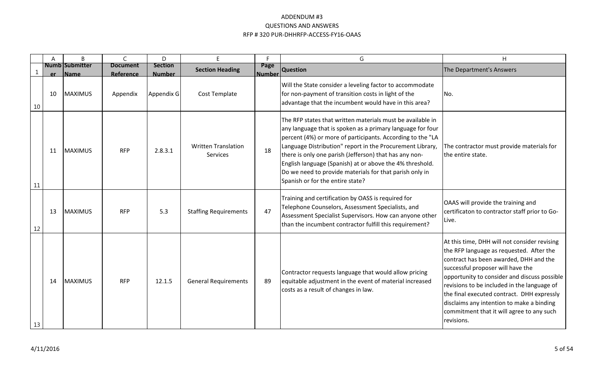|             | A   | B                                    | $\mathsf{C}$                 | D                               | E.                                            | Е.                    | G                                                                                                                                                                                                                                                                                                                                                                                                                                                                        | H                                                                                                                                                                                                                                                                                                                                                                                                                            |
|-------------|-----|--------------------------------------|------------------------------|---------------------------------|-----------------------------------------------|-----------------------|--------------------------------------------------------------------------------------------------------------------------------------------------------------------------------------------------------------------------------------------------------------------------------------------------------------------------------------------------------------------------------------------------------------------------------------------------------------------------|------------------------------------------------------------------------------------------------------------------------------------------------------------------------------------------------------------------------------------------------------------------------------------------------------------------------------------------------------------------------------------------------------------------------------|
| $\mathbf 1$ | er. | <b>Numb Submitter</b><br><b>Name</b> | <b>Document</b><br>Reference | <b>Section</b><br><b>Number</b> | <b>Section Heading</b>                        | Page<br><b>Number</b> | <b>Question</b>                                                                                                                                                                                                                                                                                                                                                                                                                                                          | The Department's Answers                                                                                                                                                                                                                                                                                                                                                                                                     |
| 10          | 10  | MAXIMUS                              | Appendix                     | Appendix G                      | Cost Template                                 |                       | Will the State consider a leveling factor to accommodate<br>for non-payment of transition costs in light of the<br>advantage that the incumbent would have in this area?                                                                                                                                                                                                                                                                                                 | INo.                                                                                                                                                                                                                                                                                                                                                                                                                         |
| 11          | 11  | <b>MAXIMUS</b>                       | <b>RFP</b>                   | 2.8.3.1                         | <b>Written Translation</b><br><b>Services</b> | 18                    | The RFP states that written materials must be available in<br>any language that is spoken as a primary language for four<br>percent (4%) or more of participants. According to the "LA<br>Language Distribution" report in the Procurement Library,<br>there is only one parish (Jefferson) that has any non-<br>English language (Spanish) at or above the 4% threshold.<br>Do we need to provide materials for that parish only in<br>Spanish or for the entire state? | The contractor must provide materials for<br>the entire state.                                                                                                                                                                                                                                                                                                                                                               |
| 12          | 13  | MAXIMUS                              | <b>RFP</b>                   | 5.3                             | <b>Staffing Requirements</b>                  | 47                    | Training and certification by OASS is required for<br>Telephone Counselors, Assessment Specialists, and<br>Assessment Specialist Supervisors. How can anyone other<br>than the incumbent contractor fulfill this requirement?                                                                                                                                                                                                                                            | OAAS will provide the training and<br>certificaton to contractor staff prior to Go-<br>Live.                                                                                                                                                                                                                                                                                                                                 |
| 13          | 14  | <b>MAXIMUS</b>                       | <b>RFP</b>                   | 12.1.5                          | <b>General Requirements</b>                   | 89                    | Contractor requests language that would allow pricing<br>equitable adjustment in the event of material increased<br>costs as a result of changes in law.                                                                                                                                                                                                                                                                                                                 | At this time, DHH will not consider revising<br>the RFP language as requested. After the<br>contract has been awarded, DHH and the<br>successful proposer will have the<br>opportunity to consider and discuss possible<br>revisions to be included in the language of<br>the final executed contract. DHH expressly<br>disclaims any intention to make a binding<br>commitment that it will agree to any such<br>revisions. |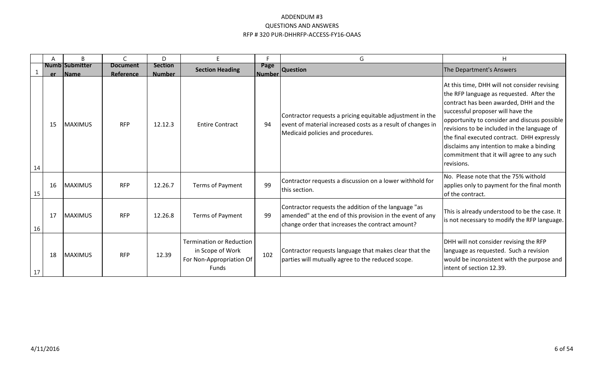|    | Α  | B                                    |                              | D.                              | E                                                                                               | с                     | G                                                                                                                                                                     | H                                                                                                                                                                                                                                                                                                                                                                                                                            |
|----|----|--------------------------------------|------------------------------|---------------------------------|-------------------------------------------------------------------------------------------------|-----------------------|-----------------------------------------------------------------------------------------------------------------------------------------------------------------------|------------------------------------------------------------------------------------------------------------------------------------------------------------------------------------------------------------------------------------------------------------------------------------------------------------------------------------------------------------------------------------------------------------------------------|
|    | er | <b>Numb Submitter</b><br><b>Name</b> | <b>Document</b><br>Reference | <b>Section</b><br><b>Number</b> | <b>Section Heading</b>                                                                          | Page<br><b>Number</b> | <b>Question</b>                                                                                                                                                       | The Department's Answers                                                                                                                                                                                                                                                                                                                                                                                                     |
| 14 | 15 | <b>IMAXIMUS</b>                      | <b>RFP</b>                   | 12.12.3                         | <b>Entire Contract</b>                                                                          | 94                    | Contractor requests a pricing equitable adjustment in the<br>event of material increased costs as a result of changes in<br>Medicaid policies and procedures.         | At this time, DHH will not consider revising<br>the RFP language as requested. After the<br>contract has been awarded, DHH and the<br>successful proposer will have the<br>opportunity to consider and discuss possible<br>revisions to be included in the language of<br>the final executed contract. DHH expressly<br>disclaims any intention to make a binding<br>commitment that it will agree to any such<br>revisions. |
| 15 | 16 | MAXIMUS                              | <b>RFP</b>                   | 12.26.7                         | Terms of Payment                                                                                | 99                    | Contractor requests a discussion on a lower withhold for<br>this section.                                                                                             | No. Please note that the 75% withold<br>applies only to payment for the final month<br>of the contract.                                                                                                                                                                                                                                                                                                                      |
| 16 | 17 | <b>MAXIMUS</b>                       | <b>RFP</b>                   | 12.26.8                         | Terms of Payment                                                                                | 99                    | Contractor requests the addition of the language "as<br>amended" at the end of this provision in the event of any<br>change order that increases the contract amount? | This is already understood to be the case. It<br>is not necessary to modify the RFP language.                                                                                                                                                                                                                                                                                                                                |
| 17 | 18 | <b>MAXIMUS</b>                       | <b>RFP</b>                   | 12.39                           | <b>Termination or Reduction</b><br>in Scope of Work<br>For Non-Appropriation Of<br><b>Funds</b> | 102                   | Contractor requests language that makes clear that the<br>parties will mutually agree to the reduced scope.                                                           | DHH will not consider revising the RFP<br>language as requested. Such a revision<br>would be inconsistent with the purpose and<br>intent of section 12.39.                                                                                                                                                                                                                                                                   |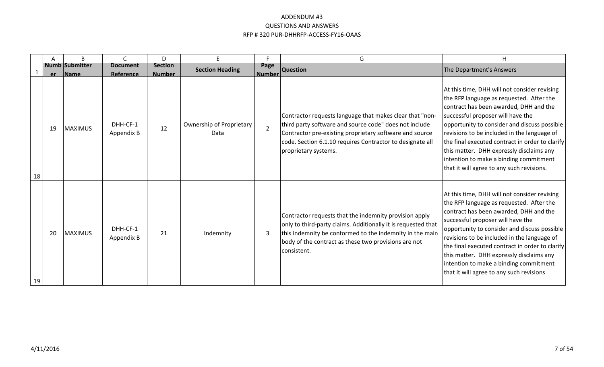|    |    | B                                    | $\subset$                           | D.                              | F.                               | F.                    | G                                                                                                                                                                                                                                                                  | H                                                                                                                                                                                                                                                                                                                                                                                                                                                            |
|----|----|--------------------------------------|-------------------------------------|---------------------------------|----------------------------------|-----------------------|--------------------------------------------------------------------------------------------------------------------------------------------------------------------------------------------------------------------------------------------------------------------|--------------------------------------------------------------------------------------------------------------------------------------------------------------------------------------------------------------------------------------------------------------------------------------------------------------------------------------------------------------------------------------------------------------------------------------------------------------|
|    | er | <b>Numb Submitter</b><br><b>Name</b> | <b>Document</b><br><b>Reference</b> | <b>Section</b><br><b>Number</b> | <b>Section Heading</b>           | Page<br><b>Number</b> | <b>Question</b>                                                                                                                                                                                                                                                    | The Department's Answers                                                                                                                                                                                                                                                                                                                                                                                                                                     |
| 18 | 19 | <b>MAXIMUS</b>                       | DHH-CF-1<br>Appendix B              | 12                              | Ownership of Proprietary<br>Data | $\overline{2}$        | Contractor requests language that makes clear that "non-<br>third party software and source code" does not include<br>Contractor pre-existing proprietary software and source<br>code. Section 6.1.10 requires Contractor to designate all<br>proprietary systems. | At this time, DHH will not consider revising<br>the RFP language as requested. After the<br>contract has been awarded, DHH and the<br>successful proposer will have the<br>opportunity to consider and discuss possible<br>revisions to be included in the language of<br>the final executed contract in order to clarify<br>this matter. DHH expressly disclaims any<br>intention to make a binding commitment<br>that it will agree to any such revisions. |
| 19 | 20 | <b>MAXIMUS</b>                       | DHH-CF-1<br>Appendix B              | 21                              | Indemnity                        | 3                     | Contractor requests that the indemnity provision apply<br>only to third-party claims. Additionally it is requested that<br>this indemnity be conformed to the indemnity in the main<br>body of the contract as these two provisions are not<br>consistent.         | At this time, DHH will not consider revising<br>the RFP language as requested. After the<br>contract has been awarded, DHH and the<br>successful proposer will have the<br>opportunity to consider and discuss possible<br>revisions to be included in the language of<br>the final executed contract in order to clarify<br>this matter. DHH expressly disclaims any<br>intention to make a binding commitment<br>that it will agree to any such revisions  |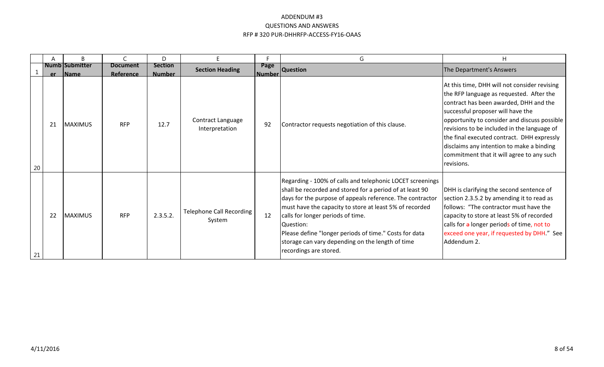|    |    | B                                     |                              | D.                              | F                                   | F                     | G                                                                                                                                                                                                                                                                                                                                                                                                                                               | H                                                                                                                                                                                                                                                                                                                                                                                                                            |
|----|----|---------------------------------------|------------------------------|---------------------------------|-------------------------------------|-----------------------|-------------------------------------------------------------------------------------------------------------------------------------------------------------------------------------------------------------------------------------------------------------------------------------------------------------------------------------------------------------------------------------------------------------------------------------------------|------------------------------------------------------------------------------------------------------------------------------------------------------------------------------------------------------------------------------------------------------------------------------------------------------------------------------------------------------------------------------------------------------------------------------|
|    | er | <b>Numb Submitter</b><br><b>IName</b> | <b>Document</b><br>Reference | <b>Section</b><br><b>Number</b> | <b>Section Heading</b>              | Page<br><b>Number</b> | <b>Question</b>                                                                                                                                                                                                                                                                                                                                                                                                                                 | The Department's Answers                                                                                                                                                                                                                                                                                                                                                                                                     |
| 20 | 21 | <b>MAXIMUS</b>                        | <b>RFP</b>                   | 12.7                            | Contract Language<br>Interpretation | 92                    | Contractor requests negotiation of this clause.                                                                                                                                                                                                                                                                                                                                                                                                 | At this time, DHH will not consider revising<br>the RFP language as requested. After the<br>contract has been awarded, DHH and the<br>successful proposer will have the<br>opportunity to consider and discuss possible<br>revisions to be included in the language of<br>the final executed contract. DHH expressly<br>disclaims any intention to make a binding<br>commitment that it will agree to any such<br>revisions. |
| 21 | 22 | MAXIMUS                               | <b>RFP</b>                   | 2.3.5.2.                        | Telephone Call Recording<br>System  | 12                    | Regarding - 100% of calls and telephonic LOCET screenings<br>shall be recorded and stored for a period of at least 90<br>days for the purpose of appeals reference. The contractor<br>must have the capacity to store at least 5% of recorded<br>calls for longer periods of time.<br><b>IQuestion:</b><br>Please define "longer periods of time." Costs for data<br>storage can vary depending on the length of time<br>recordings are stored. | DHH is clarifying the second sentence of<br>section 2.3.5.2 by amending it to read as<br>follows: "The contractor must have the<br>capacity to store at least 5% of recorded<br>calls for a longer periods of time, not to<br>exceed one year, if requested by DHH." See<br>Addendum 2.                                                                                                                                      |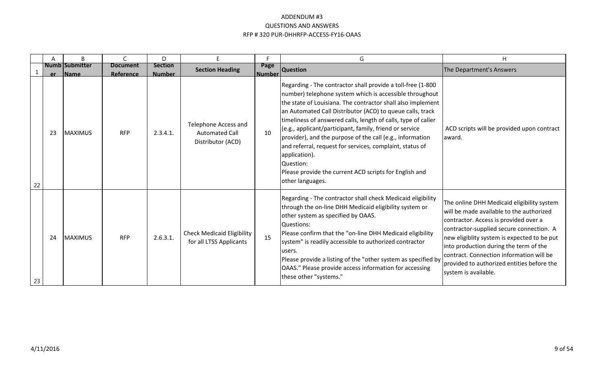|    | A   | B                              | $\mathsf{C}$                 | D                               | E                                                                  | E.             | G                                                                                                                                                                                                                                                                                                                                                                                                                                                                                                                                                                                                                   | H                                                                                                                                                                                                                                                                                                                                                                                      |
|----|-----|--------------------------------|------------------------------|---------------------------------|--------------------------------------------------------------------|----------------|---------------------------------------------------------------------------------------------------------------------------------------------------------------------------------------------------------------------------------------------------------------------------------------------------------------------------------------------------------------------------------------------------------------------------------------------------------------------------------------------------------------------------------------------------------------------------------------------------------------------|----------------------------------------------------------------------------------------------------------------------------------------------------------------------------------------------------------------------------------------------------------------------------------------------------------------------------------------------------------------------------------------|
|    | er. | Numb Submitter<br><b>IName</b> | <b>Document</b><br>Reference | <b>Section</b><br><b>Number</b> | <b>Section Heading</b>                                             | Page<br>Number | <b>Question</b>                                                                                                                                                                                                                                                                                                                                                                                                                                                                                                                                                                                                     | The Department's Answers                                                                                                                                                                                                                                                                                                                                                               |
| 22 | 23  | <b>IMAXIMUS</b>                | <b>RFP</b>                   | 2.3.4.1.                        | Telephone Access and<br><b>Automated Call</b><br>Distributor (ACD) | 10             | Regarding - The contractor shall provide a toll-free (1-800<br>number) telephone system which is accessible throughout<br>the state of Louisiana. The contractor shall also implement<br>an Automated Call Distributor (ACD) to queue calls, track<br>timeliness of answered calls, length of calls, type of caller<br>(e.g., applicant/participant, family, friend or service<br>provider), and the purpose of the call (e.g., information<br>and referral, request for services, complaint, status of<br>application).<br>Question:<br>Please provide the current ACD scripts for English and<br>other languages. | ACD scripts will be provided upon contract<br>award.                                                                                                                                                                                                                                                                                                                                   |
| 23 | 24  | MAXIMUS                        | <b>RFP</b>                   | 2.6.3.1.                        | <b>Check Medicaid Eligibility</b><br>for all LTSS Applicants       | 15             | Regarding - The contractor shall check Medicaid eligibility<br>through the on-line DHH Medicaid eligibility system or<br>other system as specified by OAAS.<br>Questions:<br>Please confirm that the "on-line DHH Medicaid eligibility<br>system" is readily accessible to authorized contractor<br>users.<br>Please provide a listing of the "other system as specified by<br>OAAS." Please provide access information for accessing<br>these other "systems."                                                                                                                                                     | The online DHH Medicaid eligibility system<br>will be made available to the authorized<br>contractor. Access is provided over a<br>contractor-supplied secure connection. A<br>new eligiblity system is expected to be put<br>into production during the term of the<br>contract. Connection information will be<br>provided to authorized entities before the<br>system is available. |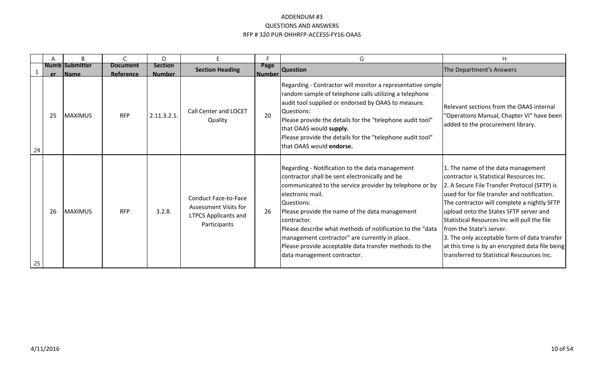|    |    | <sub>R</sub>                     | $\sqrt{ }$                   | D.                              | F                                                                                                   |                       | G                                                                                                                                                                                                                                                                                                                                                                                                                                                                       | H                                                                                                                                                                                                                                                                                                                                                                                                                                                                                                    |
|----|----|----------------------------------|------------------------------|---------------------------------|-----------------------------------------------------------------------------------------------------|-----------------------|-------------------------------------------------------------------------------------------------------------------------------------------------------------------------------------------------------------------------------------------------------------------------------------------------------------------------------------------------------------------------------------------------------------------------------------------------------------------------|------------------------------------------------------------------------------------------------------------------------------------------------------------------------------------------------------------------------------------------------------------------------------------------------------------------------------------------------------------------------------------------------------------------------------------------------------------------------------------------------------|
|    |    | <b>Numb Submitter</b><br>er Name | <b>Document</b><br>Reference | <b>Section</b><br><b>Number</b> | <b>Section Heading</b>                                                                              | Page<br><b>Number</b> | <b>Question</b>                                                                                                                                                                                                                                                                                                                                                                                                                                                         | The Department's Answers                                                                                                                                                                                                                                                                                                                                                                                                                                                                             |
| 24 | 25 | <b>MAXIMUS</b>                   | <b>RFP</b>                   | 2.11.3.2.1                      | <b>Call Center and LOCET</b><br>Quality                                                             | 20                    | Regarding - Contractor will monitor a representative simple<br>random sample of telephone calls utilizing a telephone<br>audit tool supplied or endorsed by OAAS to measure.<br>Questions:<br>Please provide the details for the "telephone audit tool"<br>that OAAS would supply.<br>Please provide the details for the "telephone audit tool"<br>that OAAS would endorse.                                                                                             | Relevant sections from the OAAS internal<br>"Operations Manual, Chapter VI" have been<br>added to the procurement library.                                                                                                                                                                                                                                                                                                                                                                           |
| 25 | 26 | <b>MAXIMUS</b>                   | <b>RFP</b>                   | 3.2.8.                          | <b>Conduct Face-to-Face</b><br>Assessment Visits for<br><b>LTPCS Applicants and</b><br>Participants | 26                    | Regarding - Notification to the data management<br>contractor shall be sent electronically and be<br>communicated to the service provider by telephone or by<br>electronic mail.<br>Questions:<br>Please provide the name of the data management<br>contractor.<br>Please describe what methods of notification to the "data<br>management contractor" are currently in place.<br>Please provide acceptable data transfer methods to the<br>data management contractor. | 1. The name of the data management<br>contractor is Statistical Resources Inc.<br>2. A Secure File Transfer Protocol (SFTP) is<br>used for for file transfer and notification.<br>The contractor will complete a nightly SFTP<br>upload onto the States SFTP server and<br>Statistical Resources Inc will pull the file<br>from the State's server.<br>3. The only acceptable form of data transfer<br>at this time is by an encrypted data file being<br>transferred to Statistical Rescources Inc. |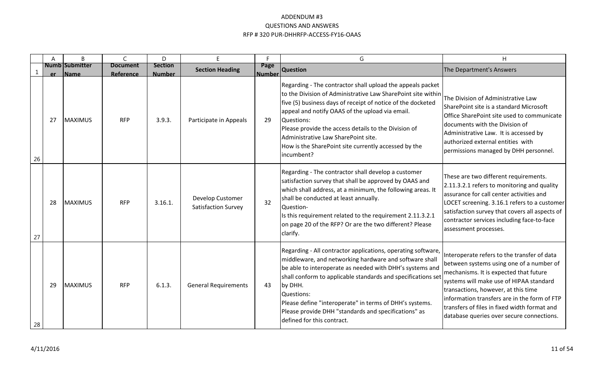|    | A   | B                                     | $\mathsf{C}$                 | D                               | E.                                      | F                     | G                                                                                                                                                                                                                                                                                                                                                                                                                                | H                                                                                                                                                                                                                                                                                                                                                                |
|----|-----|---------------------------------------|------------------------------|---------------------------------|-----------------------------------------|-----------------------|----------------------------------------------------------------------------------------------------------------------------------------------------------------------------------------------------------------------------------------------------------------------------------------------------------------------------------------------------------------------------------------------------------------------------------|------------------------------------------------------------------------------------------------------------------------------------------------------------------------------------------------------------------------------------------------------------------------------------------------------------------------------------------------------------------|
|    | er. | <b>Numb Submitter</b><br><b>IName</b> | <b>Document</b><br>Reference | <b>Section</b><br><b>Number</b> | <b>Section Heading</b>                  | Page<br><b>Number</b> | <b>Question</b>                                                                                                                                                                                                                                                                                                                                                                                                                  | The Department's Answers                                                                                                                                                                                                                                                                                                                                         |
| 26 | 27  | <b>MAXIMUS</b>                        | <b>RFP</b>                   | 3.9.3.                          | Participate in Appeals                  | 29                    | Regarding - The contractor shall upload the appeals packet<br>to the Division of Administrative Law SharePoint site within<br>five (5) business days of receipt of notice of the docketed<br>appeal and notify OAAS of the upload via email.<br>Questions:<br>Please provide the access details to the Division of<br>Administrative Law SharePoint site.<br>How is the SharePoint site currently accessed by the<br>lincumbent? | The Division of Administrative Law<br>SharePoint site is a standard Microsoft<br>Office SharePoint site used to communicate<br>documents with the Division of<br>Administrative Law. It is accessed by<br>authorized external entities with<br>permissions managed by DHH personnel.                                                                             |
| 27 | 28  | <b>MAXIMUS</b>                        | <b>RFP</b>                   | 3.16.1.                         | Develop Customer<br>Satisfaction Survey | 32                    | Regarding - The contractor shall develop a customer<br>satisfaction survey that shall be approved by OAAS and<br>which shall address, at a minimum, the following areas. It<br>shall be conducted at least annually.<br>Question-<br>Is this requirement related to the requirement 2.11.3.2.1<br>on page 20 of the RFP? Or are the two different? Please<br>clarify.                                                            | These are two different requirements.<br>2.11.3.2.1 refers to monitoring and quality<br>assurance for call center activities and<br>LOCET screening. 3.16.1 refers to a customer<br>satisfaction survey that covers all aspects of<br>contractor services including face-to-face<br>assessment processes.                                                        |
| 28 | 29  | <b>MAXIMUS</b>                        | <b>RFP</b>                   | 6.1.3.                          | <b>General Requirements</b>             | 43                    | Regarding - All contractor applications, operating software,<br>middleware, and networking hardware and software shall<br>be able to interoperate as needed with DHH's systems and<br>shall conform to applicable standards and specifications set<br>by DHH.<br>Questions:<br>Please define "interoperate" in terms of DHH's systems.<br>Please provide DHH "standards and specifications" as<br>defined for this contract.     | Interoperate refers to the transfer of data<br>between systems using one of a number of<br>mechanisms. It is expected that future<br>systems will make use of HIPAA standard<br>transactions, however, at this time<br>information transfers are in the form of FTP<br>transfers of files in fixed width format and<br>database queries over secure connections. |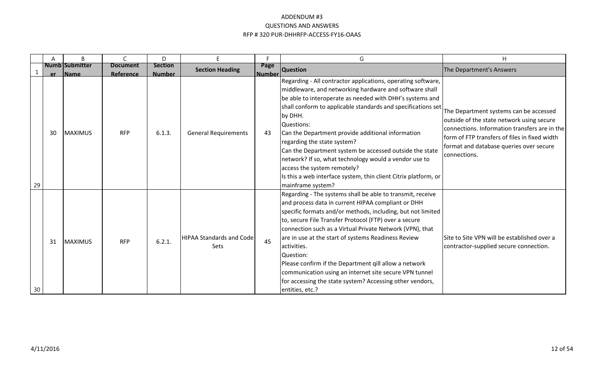|    | Α   | B                                     | C                            | D                               | E.                                             | F.                    | G                                                                                                                                                                                                                                                                                                                                                                                                                                                                                                                                                                                                          | H                                                                                                                                                                                                                                                |
|----|-----|---------------------------------------|------------------------------|---------------------------------|------------------------------------------------|-----------------------|------------------------------------------------------------------------------------------------------------------------------------------------------------------------------------------------------------------------------------------------------------------------------------------------------------------------------------------------------------------------------------------------------------------------------------------------------------------------------------------------------------------------------------------------------------------------------------------------------------|--------------------------------------------------------------------------------------------------------------------------------------------------------------------------------------------------------------------------------------------------|
|    | er. | <b>Numb Submitter</b><br><b>IName</b> | <b>Document</b><br>Reference | <b>Section</b><br><b>Number</b> | <b>Section Heading</b>                         | Page<br><b>Number</b> | <b>Question</b>                                                                                                                                                                                                                                                                                                                                                                                                                                                                                                                                                                                            | The Department's Answers                                                                                                                                                                                                                         |
| 29 | 30  | <b>MAXIMUS</b>                        | <b>RFP</b>                   | 6.1.3.                          | <b>General Requirements</b>                    | 43                    | Regarding - All contractor applications, operating software,<br>middleware, and networking hardware and software shall<br>be able to interoperate as needed with DHH's systems and<br>shall conform to applicable standards and specifications set<br>by DHH.<br>Questions:<br>Can the Department provide additional information<br>regarding the state system?<br>Can the Department system be accessed outside the state<br>network? If so, what technology would a vendor use to<br>access the system remotely?<br>Is this a web interface system, thin client Citrix platform, or<br>mainframe system? | The Department systems can be accessed<br>outside of the state network using secure<br>connections. Information transfers are in the<br>form of FTP transfers of files in fixed width<br>format and database queries over secure<br>connections. |
| 30 | 31  | <b>IMAXIMUS</b>                       | <b>RFP</b>                   | 6.2.1.                          | <b>HIPAA Standards and Code</b><br><b>Sets</b> | 45                    | Regarding - The systems shall be able to transmit, receive<br>and process data in current HIPAA compliant or DHH<br>specific formats and/or methods, including, but not limited<br>to, secure File Transfer Protocol (FTP) over a secure<br>connection such as a Virtual Private Network (VPN), that<br>are in use at the start of systems Readiness Review<br>lactivities.<br><b>Question:</b><br>Please confirm if the Department gill allow a network<br>communication using an internet site secure VPN tunnel<br>for accessing the state system? Accessing other vendors,<br>entities, etc.?          | Site to Site VPN will be established over a<br>contractor-supplied secure connection.                                                                                                                                                            |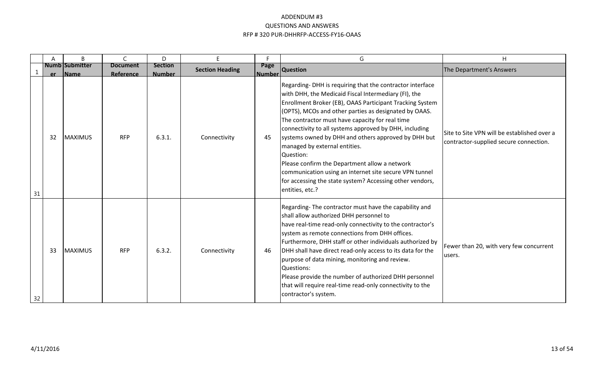|    | Α  | B                         | $\mathcal{C}_{\mathcal{C}}$         | D.                              | E.                     | F.                 | G                                                                                                                                                                                                                                                                                                                                                                                                                                                                                                                                                                                                                                                 | H                                                                                     |
|----|----|---------------------------|-------------------------------------|---------------------------------|------------------------|--------------------|---------------------------------------------------------------------------------------------------------------------------------------------------------------------------------------------------------------------------------------------------------------------------------------------------------------------------------------------------------------------------------------------------------------------------------------------------------------------------------------------------------------------------------------------------------------------------------------------------------------------------------------------------|---------------------------------------------------------------------------------------|
|    |    | Numb Submitter<br>er Name | <b>Document</b><br><b>Reference</b> | <b>Section</b><br><b>Number</b> | <b>Section Heading</b> | Page<br>l Number l | <b>Question</b>                                                                                                                                                                                                                                                                                                                                                                                                                                                                                                                                                                                                                                   | The Department's Answers                                                              |
| 31 | 32 | MAXIMUS                   | <b>RFP</b>                          | 6.3.1.                          | Connectivity           | 45                 | Regarding-DHH is requiring that the contractor interface<br>with DHH, the Medicaid Fiscal Intermediary (FI), the<br>Enrollment Broker (EB), OAAS Participant Tracking System<br>(OPTS), MCOs and other parties as designated by OAAS.<br>The contractor must have capacity for real time<br>connectivity to all systems approved by DHH, including<br>systems owned by DHH and others approved by DHH but<br>managed by external entities.<br>Question:<br>Please confirm the Department allow a network<br>communication using an internet site secure VPN tunnel<br>for accessing the state system? Accessing other vendors,<br>entities, etc.? | Site to Site VPN will be established over a<br>contractor-supplied secure connection. |
| 32 | 33 | <b>MAXIMUS</b>            | <b>RFP</b>                          | 6.3.2.                          | Connectivity           | -46                | Regarding-The contractor must have the capability and<br>shall allow authorized DHH personnel to<br>have real-time read-only connectivity to the contractor's<br>system as remote connections from DHH offices.<br>Furthermore, DHH staff or other individuals authorized by<br>DHH shall have direct read-only access to its data for the<br>purpose of data mining, monitoring and review.<br>Questions:<br>Please provide the number of authorized DHH personnel<br>that will require real-time read-only connectivity to the<br>contractor's system.                                                                                          | Fewer than 20, with very few concurrent<br>users.                                     |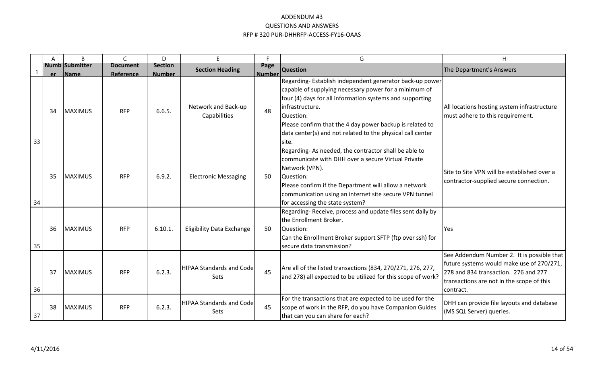|    | Α    | B                                     | $\mathsf{C}$                 | D                               | E.                                             | F.                    | G                                                                                                                                                                                                                                                                                                                                               | H                                                                                                                                                                                         |
|----|------|---------------------------------------|------------------------------|---------------------------------|------------------------------------------------|-----------------------|-------------------------------------------------------------------------------------------------------------------------------------------------------------------------------------------------------------------------------------------------------------------------------------------------------------------------------------------------|-------------------------------------------------------------------------------------------------------------------------------------------------------------------------------------------|
|    | er - | <b>Numb Submitter</b><br><b>IName</b> | <b>Document</b><br>Reference | <b>Section</b><br><b>Number</b> | <b>Section Heading</b>                         | Page<br><b>Number</b> | <b>Question</b>                                                                                                                                                                                                                                                                                                                                 | The Department's Answers                                                                                                                                                                  |
| 33 | 34   | <b>MAXIMUS</b>                        | <b>RFP</b>                   | 6.6.5.                          | Network and Back-up<br>Capabilities            | 48                    | Regarding-Establish independent generator back-up power<br>capable of supplying necessary power for a minimum of<br>four (4) days for all information systems and supporting<br>infrastructure.<br>Question:<br>Please confirm that the 4 day power backup is related to<br>data center(s) and not related to the physical call center<br>site. | All locations hosting system infrastructure<br>must adhere to this requirement.                                                                                                           |
| 34 | 35   | <b>MAXIMUS</b>                        | <b>RFP</b>                   | 6.9.2.                          | <b>Electronic Messaging</b>                    | 50                    | Regarding-As needed, the contractor shall be able to<br>communicate with DHH over a secure Virtual Private<br>Network (VPN).<br>Question:<br>Please confirm if the Department will allow a network<br>communication using an internet site secure VPN tunnel<br>for accessing the state system?                                                 | Site to Site VPN will be established over a<br>contractor-supplied secure connection.                                                                                                     |
| 35 | 36   | <b>MAXIMUS</b>                        | <b>RFP</b>                   | 6.10.1.                         | <b>Eligibility Data Exchange</b>               | 50                    | Regarding-Receive, process and update files sent daily by<br>the Enrollment Broker.<br>Question:<br>Can the Enrollment Broker support SFTP (ftp over ssh) for<br>secure data transmission?                                                                                                                                                      | Yes                                                                                                                                                                                       |
| 36 | 37   | MAXIMUS                               | <b>RFP</b>                   | 6.2.3.                          | <b>HIPAA Standards and Code</b><br><b>Sets</b> | 45                    | Are all of the listed transactions (834, 270/271, 276, 277,<br>and 278) all expected to be utilized for this scope of work?                                                                                                                                                                                                                     | See Addendum Number 2. It is possible that<br>future systems would make use of 270/271,<br>278 and 834 transaction. 276 and 277<br>transactions are not in the scope of this<br>contract. |
| 37 | 38   | <b>MAXIMUS</b>                        | <b>RFP</b>                   | 6.2.3.                          | <b>HIPAA Standards and Code</b><br><b>Sets</b> | 45                    | For the transactions that are expected to be used for the<br>scope of work in the RFP, do you have Companion Guides<br>that can you can share for each?                                                                                                                                                                                         | DHH can provide file layouts and database<br>(MS SQL Server) queries.                                                                                                                     |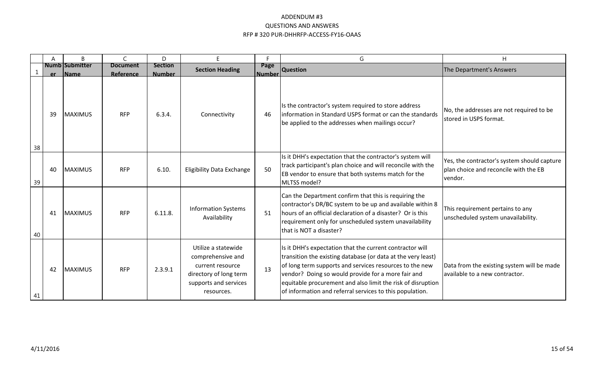|    | A  | B                                |                              | D                               | E                                                                                                                             | F                     | G                                                                                                                                                                                                                                                                                                                                                                    | H                                                                                               |
|----|----|----------------------------------|------------------------------|---------------------------------|-------------------------------------------------------------------------------------------------------------------------------|-----------------------|----------------------------------------------------------------------------------------------------------------------------------------------------------------------------------------------------------------------------------------------------------------------------------------------------------------------------------------------------------------------|-------------------------------------------------------------------------------------------------|
|    |    | <b>Numb Submitter</b><br>er Name | <b>Document</b><br>Reference | <b>Section</b><br><b>Number</b> | <b>Section Heading</b>                                                                                                        | Page<br><b>Number</b> | <b>Question</b>                                                                                                                                                                                                                                                                                                                                                      | The Department's Answers                                                                        |
| 38 | 39 | <b>MAXIMUS</b>                   | <b>RFP</b>                   | 6.3.4.                          | Connectivity                                                                                                                  | 46                    | Is the contractor's system required to store address<br>Information in Standard USPS format or can the standards<br>be applied to the addresses when mailings occur?                                                                                                                                                                                                 | No, the addresses are not required to be<br>stored in USPS format.                              |
| 39 | 40 | MAXIMUS                          | <b>RFP</b>                   | 6.10.                           | <b>Eligibility Data Exchange</b>                                                                                              | 50                    | Is it DHH's expectation that the contractor's system will<br>track participant's plan choice and will reconcile with the<br>EB vendor to ensure that both systems match for the<br>MLTSS model?                                                                                                                                                                      | Yes, the contractor's system should capture<br>plan choice and reconcile with the EB<br>vendor. |
| 40 | 41 | MAXIMUS                          | <b>RFP</b>                   | 6.11.8.                         | <b>Information Systems</b><br>Availability                                                                                    | 51                    | Can the Department confirm that this is requiring the<br>contractor's DR/BC system to be up and available within 8<br>hours of an official declaration of a disaster? Or is this<br>requirement only for unscheduled system unavailability<br>that is NOT a disaster?                                                                                                | This requirement pertains to any<br>unscheduled system unavailability.                          |
| 41 | 42 | <b>MAXIMUS</b>                   | <b>RFP</b>                   | 2.3.9.1                         | Utilize a statewide<br>comprehensive and<br>current resource<br>directory of long term<br>supports and services<br>resources. | 13                    | Is it DHH's expectation that the current contractor will<br>transition the existing database (or data at the very least)<br>of long term supports and services resources to the new<br>vendor? Doing so would provide for a more fair and<br>equitable procurement and also limit the risk of disruption<br>of information and referral services to this population. | Data from the existing system will be made<br>available to a new contractor.                    |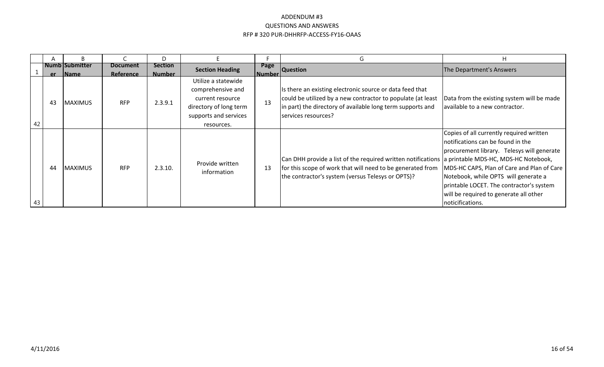|    |    |                           |                         | D                               |                                                                                                                               |                         | G                                                                                                                                                                                                                    | H                                                                                                                                                                                                                                                                                                                           |
|----|----|---------------------------|-------------------------|---------------------------------|-------------------------------------------------------------------------------------------------------------------------------|-------------------------|----------------------------------------------------------------------------------------------------------------------------------------------------------------------------------------------------------------------|-----------------------------------------------------------------------------------------------------------------------------------------------------------------------------------------------------------------------------------------------------------------------------------------------------------------------------|
|    |    | l Numb lSubmitter         | <b>Document</b>         | <b>Section</b><br><b>Number</b> | <b>Section Heading</b>                                                                                                        | Page<br><u> Number </u> | <b>Question</b>                                                                                                                                                                                                      | The Department's Answers                                                                                                                                                                                                                                                                                                    |
| 42 | 43 | er Name<br><b>MAXIMUS</b> | Reference<br><b>RFP</b> | 2.3.9.1                         | Utilize a statewide<br>comprehensive and<br>current resource<br>directory of long term<br>supports and services<br>resources. | 13                      | Is there an existing electronic source or data feed that<br>could be utilized by a new contractor to populate (at least<br>in part) the directory of available long term supports and<br>services resources?         | Data from the existing system will be made<br>available to a new contractor.                                                                                                                                                                                                                                                |
| 43 | 44 | <b>MAXIMUS</b>            | <b>RFP</b>              | 2.3.10.                         | Provide written<br>information                                                                                                | 13                      | Can DHH provide a list of the required written notifications a printable MDS-HC, MDS-HC Notebook,<br>for this scope of work that will need to be generated from<br>the contractor's system (versus Telesys or OPTS)? | Copies of all currently required written<br>notifications can be found in the<br>procurement library. Telesys will generate<br>MDS-HC CAPS, Plan of Care and Plan of Care<br>Notebook, while OPTS will generate a<br>printable LOCET. The contractor's system<br>will be required to generate all other<br>noticifications. |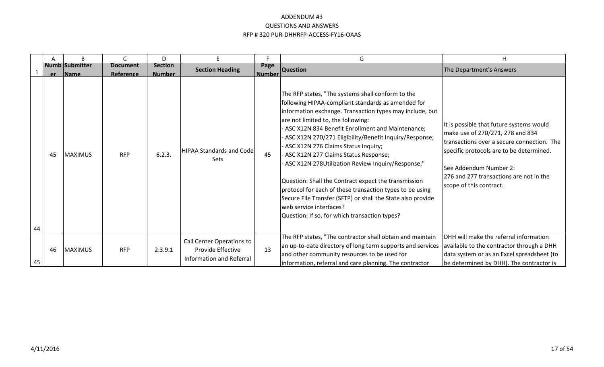|    | Α  | B                                | C                            | D                               | E.                                                                         | п.                    | G                                                                                                                                                                                                                                                                                                                                                                                                                                                                                                                                                                                                                                                                                                                               | H.                                                                                                                                                                                                                                                                      |
|----|----|----------------------------------|------------------------------|---------------------------------|----------------------------------------------------------------------------|-----------------------|---------------------------------------------------------------------------------------------------------------------------------------------------------------------------------------------------------------------------------------------------------------------------------------------------------------------------------------------------------------------------------------------------------------------------------------------------------------------------------------------------------------------------------------------------------------------------------------------------------------------------------------------------------------------------------------------------------------------------------|-------------------------------------------------------------------------------------------------------------------------------------------------------------------------------------------------------------------------------------------------------------------------|
|    |    | <b>Numb Submitter</b><br>er Name | <b>Document</b><br>Reference | <b>Section</b><br><b>Number</b> | <b>Section Heading</b>                                                     | Page<br><b>Number</b> | <b>Question</b>                                                                                                                                                                                                                                                                                                                                                                                                                                                                                                                                                                                                                                                                                                                 | The Department's Answers                                                                                                                                                                                                                                                |
| 44 | 45 | <b>MAXIMUS</b>                   | <b>RFP</b>                   | 6.2.3.                          | <b>HIPAA Standards and Code</b><br><b>Sets</b>                             | 45                    | The RFP states, "The systems shall conform to the<br>following HIPAA-compliant standards as amended for<br>information exchange. Transaction types may include, but<br>are not limited to, the following:<br>- ASC X12N 834 Benefit Enrollment and Maintenance;<br>ASC X12N 270/271 Eligibility/Benefit Inquiry/Response;<br>ASC X12N 276 Claims Status Inquiry;<br>- ASC X12N 277 Claims Status Response;<br>ASC X12N 278Utilization Review Inquiry/Response;"<br>Question: Shall the Contract expect the transmission<br>protocol for each of these transaction types to be using<br>Secure File Transfer (SFTP) or shall the State also provide<br>lweb service interfaces?<br>Question: If so, for which transaction types? | It is possible that future systems would<br>make use of 270/271, 278 and 834<br>transactions over a secure connection. The<br>specific protocols are to be determined.<br>lSee Addendum Number 2:<br>276 and 277 transactions are not in the<br>scope of this contract. |
| 45 | 46 | MAXIMUS                          | <b>RFP</b>                   | 2.3.9.1                         | Call Center Operations to<br>Provide Effective<br>Information and Referral | 13                    | The RFP states, "The contractor shall obtain and maintain<br>an up-to-date directory of long term supports and services<br>and other community resources to be used for<br>information, referral and care planning. The contractor                                                                                                                                                                                                                                                                                                                                                                                                                                                                                              | <b>IDHH will make the referral information</b><br>available to the contractor through a DHH<br>data system or as an Excel spreadsheet (to<br>be determined by DHH). The contractor is                                                                                   |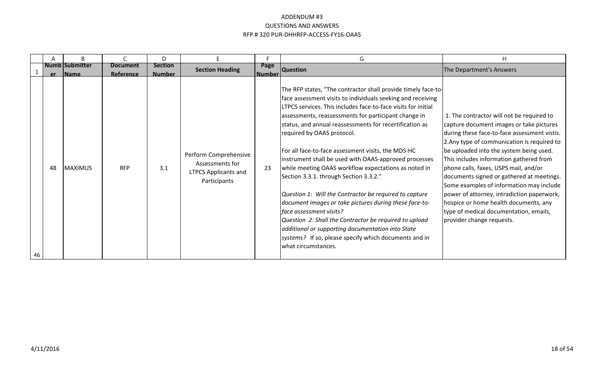|    |     | B                              |                              | D                               |                                                                                         |                       | G                                                                                                                                                                                                                                                                                                                                                                                                                                                                                                                                                                                                                                                                                                                                                                                                                                                                                                             | H                                                                                                                                                                                                                                                                                                                                                                                                                                                                                                                                                                          |
|----|-----|--------------------------------|------------------------------|---------------------------------|-----------------------------------------------------------------------------------------|-----------------------|---------------------------------------------------------------------------------------------------------------------------------------------------------------------------------------------------------------------------------------------------------------------------------------------------------------------------------------------------------------------------------------------------------------------------------------------------------------------------------------------------------------------------------------------------------------------------------------------------------------------------------------------------------------------------------------------------------------------------------------------------------------------------------------------------------------------------------------------------------------------------------------------------------------|----------------------------------------------------------------------------------------------------------------------------------------------------------------------------------------------------------------------------------------------------------------------------------------------------------------------------------------------------------------------------------------------------------------------------------------------------------------------------------------------------------------------------------------------------------------------------|
|    | er. | Numb Submitter<br><b>IName</b> | <b>Document</b><br>Reference | <b>Section</b><br><b>Number</b> | <b>Section Heading</b>                                                                  | Page<br><b>Number</b> | <b>Question</b>                                                                                                                                                                                                                                                                                                                                                                                                                                                                                                                                                                                                                                                                                                                                                                                                                                                                                               | The Department's Answers                                                                                                                                                                                                                                                                                                                                                                                                                                                                                                                                                   |
| 46 | 48  | <b>MAXIMUS</b>                 | <b>RFP</b>                   | 3.1                             | Perform Comprehensive<br>Assessments for<br><b>LTPCS Applicants and</b><br>Participants | 23                    | The RFP states, "The contractor shall provide timely face-to-<br>face assessment visits to individuals seeking and receiving<br>LTPCS services. This includes face-to-face visits for initial<br>assessments, reassessments for participant change in<br>status, and annual reassessments for recertification as<br>required by OAAS protocol.<br>For all face-to-face assessment visits, the MDS-HC<br>instrument shall be used with OAAS-approved processes<br>while meeting OAAS workflow expectations as noted in<br>Section 3.3.1. through Section 3.3.2."<br>Question 1: Will the Contractor be required to capture<br>document images or take pictures during these face-to-<br>face assessment visits?<br>Question 2: Shall the Contractor be required to upload<br>additional or supporting documentation into State<br>systems? If so, please specify which documents and in<br>what circumstances. | 1. The contractor will not be required to<br>capture document images or take pictures<br>during these face-to-face assessment vistis.<br>2. Any type of communication is required to<br>be uploaded into the system being used.<br>This includes information gathered from<br>phone calls, faxes, USPS mail, and/or<br>documents signed or gathered at meetings.<br>Some examples of information may include<br>power of attorney, intradiction paperwork,<br>hospice or home health documents, any<br>type of medical documentation, emails,<br>provider change requests. |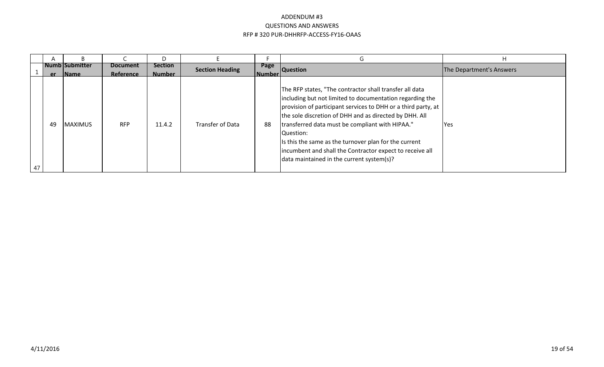|    |     |                                |                              |                                 |                         |                    | $\mathsf{G}$                                                                                                                                                                                                                                                                                                                                                                                                                                                                      | н                        |
|----|-----|--------------------------------|------------------------------|---------------------------------|-------------------------|--------------------|-----------------------------------------------------------------------------------------------------------------------------------------------------------------------------------------------------------------------------------------------------------------------------------------------------------------------------------------------------------------------------------------------------------------------------------------------------------------------------------|--------------------------|
|    | er. | Numb Submitter<br><b>IName</b> | <b>Document</b><br>Reference | <b>Section</b><br><b>Number</b> | <b>Section Heading</b>  | Page<br>l Number l | <b>Question</b>                                                                                                                                                                                                                                                                                                                                                                                                                                                                   | The Department's Answers |
| 47 | 49  | <b>MAXIMUS</b>                 | <b>RFP</b>                   | 11.4.2                          | <b>Transfer of Data</b> | 88                 | The RFP states, "The contractor shall transfer all data<br>including but not limited to documentation regarding the<br>provision of participant services to DHH or a third party, at<br>the sole discretion of DHH and as directed by DHH. All<br>transferred data must be compliant with HIPAA."<br>Question:<br>Is this the same as the turnover plan for the current<br>lincumbent and shall the Contractor expect to receive all<br>data maintained in the current system(s)? | <b>IYes</b>              |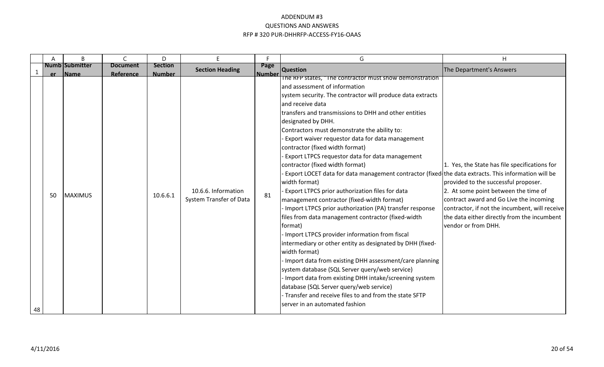|    |           | B                             | $\mathsf{C}$                 | D                         | E.                                             | F.                    | G                                                                                                                                                                                                                                                                                                                                                                                                                                                                                                                                                                                                                                                                                                                                                                                                                                                                                                                                                                                                                                                                                                                                                                                                                                                                                        | H                                                                                                                                                                                                                                                                                                |
|----|-----------|-------------------------------|------------------------------|---------------------------|------------------------------------------------|-----------------------|------------------------------------------------------------------------------------------------------------------------------------------------------------------------------------------------------------------------------------------------------------------------------------------------------------------------------------------------------------------------------------------------------------------------------------------------------------------------------------------------------------------------------------------------------------------------------------------------------------------------------------------------------------------------------------------------------------------------------------------------------------------------------------------------------------------------------------------------------------------------------------------------------------------------------------------------------------------------------------------------------------------------------------------------------------------------------------------------------------------------------------------------------------------------------------------------------------------------------------------------------------------------------------------|--------------------------------------------------------------------------------------------------------------------------------------------------------------------------------------------------------------------------------------------------------------------------------------------------|
|    |           | <b>Numb Submitter</b>         | <b>Document</b><br>Reference | <b>Section</b>            | <b>Section Heading</b>                         | Page<br><b>Number</b> | <b>Question</b>                                                                                                                                                                                                                                                                                                                                                                                                                                                                                                                                                                                                                                                                                                                                                                                                                                                                                                                                                                                                                                                                                                                                                                                                                                                                          | The Department's Answers                                                                                                                                                                                                                                                                         |
| 48 | er.<br>50 | <b>Name</b><br><b>MAXIMUS</b> |                              | <b>Number</b><br>10.6.6.1 | 10.6.6. Information<br>System Transfer of Data | 81                    | The RFP states, "The contractor must show demonstration<br>and assessment of information<br>system security. The contractor will produce data extracts<br>and receive data<br>transfers and transmissions to DHH and other entities<br>designated by DHH.<br>Contractors must demonstrate the ability to:<br>Export waiver requestor data for data management<br>contractor (fixed width format)<br>Export LTPCS requestor data for data management<br>contractor (fixed width format)<br>Export LOCET data for data management contractor (fixed the data extracts. This information will be<br>width format)<br>Export LTPCS prior authorization files for data<br>management contractor (fixed-width format)<br>Import LTPCS prior authorization (PA) transfer response<br>files from data management contractor (fixed-width<br>format)<br>Import LTPCS provider information from fiscal<br>lintermediary or other entity as designated by DHH (fixed-<br>width format)<br>Import data from existing DHH assessment/care planning<br>system database (SQL Server query/web service)<br>Import data from existing DHH intake/screening system<br>database (SQL Server query/web service)<br>- Transfer and receive files to and from the state SFTP<br>server in an automated fashion | 1. Yes, the State has file specifications for<br>provided to the successful proposer.<br>2. At some point between the time of<br>contract award and Go Live the incoming<br>contractor, if not the incumbent, will receive<br>the data either directly from the incumbent<br>vendor or from DHH. |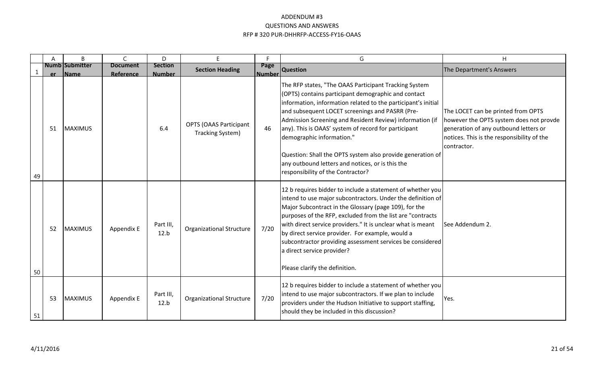|    | A  | B                                    | $\mathsf{C}$                 | D                               | E.                                                | F                     | G                                                                                                                                                                                                                                                                                                                                                                                                                                                                                                                                        | H                                                                                                                                                                                   |
|----|----|--------------------------------------|------------------------------|---------------------------------|---------------------------------------------------|-----------------------|------------------------------------------------------------------------------------------------------------------------------------------------------------------------------------------------------------------------------------------------------------------------------------------------------------------------------------------------------------------------------------------------------------------------------------------------------------------------------------------------------------------------------------------|-------------------------------------------------------------------------------------------------------------------------------------------------------------------------------------|
|    | er | <b>Numb Submitter</b><br><b>Name</b> | <b>Document</b><br>Reference | <b>Section</b><br><b>Number</b> | <b>Section Heading</b>                            | Page<br><b>Number</b> | <b>Question</b>                                                                                                                                                                                                                                                                                                                                                                                                                                                                                                                          | The Department's Answers                                                                                                                                                            |
| 49 | 51 | <b>MAXIMUS</b>                       |                              | 6.4                             | <b>OPTS (OAAS Participant</b><br>Tracking System) | 46                    | The RFP states, "The OAAS Participant Tracking System<br>(OPTS) contains participant demographic and contact<br>information, information related to the participant's initial<br>and subsequent LOCET screenings and PASRR (Pre-<br>Admission Screening and Resident Review) information (if<br>any). This is OAAS' system of record for participant<br>demographic information."<br>Question: Shall the OPTS system also provide generation of<br>any outbound letters and notices, or is this the<br>responsibility of the Contractor? | The LOCET can be printed from OPTS<br>however the OPTS system does not provde<br>generation of any outbound letters or<br>notices. This is the responsibility of the<br>contractor. |
| 50 | 52 | <b>MAXIMUS</b>                       | Appendix E                   | Part III,<br>12.b               | <b>Organizational Structure</b>                   | 7/20                  | 12 b requires bidder to include a statement of whether you<br>intend to use major subcontractors. Under the definition of<br>Major Subcontract in the Glossary (page 109), for the<br>purposes of the RFP, excluded from the list are "contracts"<br>with direct service providers." It is unclear what is meant<br>by direct service provider. For example, would a<br>subcontractor providing assessment services be considered<br>a direct service provider?<br>Please clarify the definition.                                        | See Addendum 2.                                                                                                                                                                     |
| 51 | 53 | <b>MAXIMUS</b>                       | Appendix E                   | Part III,<br>12.b               | <b>Organizational Structure</b>                   | 7/20                  | 12 b requires bidder to include a statement of whether you<br>intend to use major subcontractors. If we plan to include<br>providers under the Hudson Initiative to support staffing,<br>should they be included in this discussion?                                                                                                                                                                                                                                                                                                     | Yes.                                                                                                                                                                                |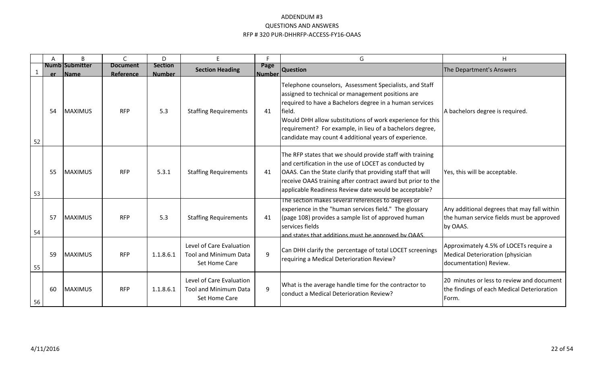|    | A  | B                                | $\mathsf{C}$                 | D                               | E.                                                                        | F.                    | G                                                                                                                                                                                                                                                                                                                                                                   | H                                                                                                    |
|----|----|----------------------------------|------------------------------|---------------------------------|---------------------------------------------------------------------------|-----------------------|---------------------------------------------------------------------------------------------------------------------------------------------------------------------------------------------------------------------------------------------------------------------------------------------------------------------------------------------------------------------|------------------------------------------------------------------------------------------------------|
|    |    | <b>Numb Submitter</b><br>er Name | <b>Document</b><br>Reference | <b>Section</b><br><b>Number</b> | <b>Section Heading</b>                                                    | Page<br><b>Number</b> | <b>Question</b>                                                                                                                                                                                                                                                                                                                                                     | The Department's Answers                                                                             |
| 52 | 54 | MAXIMUS                          | <b>RFP</b>                   | 5.3                             | <b>Staffing Requirements</b>                                              | 41                    | Telephone counselors, Assessment Specialists, and Staff<br>assigned to technical or management positions are<br>required to have a Bachelors degree in a human services<br>field.<br>Would DHH allow substitutions of work experience for this<br>requirement? For example, in lieu of a bachelors degree,<br>candidate may count 4 additional years of experience. | A bachelors degree is required.                                                                      |
| 53 | 55 | <b>MAXIMUS</b>                   | <b>RFP</b>                   | 5.3.1                           | <b>Staffing Requirements</b>                                              | 41                    | The RFP states that we should provide staff with training<br>and certification in the use of LOCET as conducted by<br><b>OAAS.</b> Can the State clarify that providing staff that will<br>receive OAAS training after contract award but prior to the<br>applicable Readiness Review date would be acceptable?                                                     | Yes, this will be acceptable.                                                                        |
| 54 | 57 | MAXIMUS                          | <b>RFP</b>                   | 5.3                             | <b>Staffing Requirements</b>                                              | 41                    | The section makes several references to degrees or<br>experience in the "human services field." The glossary<br>(page 108) provides a sample list of approved human<br>services fields<br>and states that additions must be annroved by OAAS.                                                                                                                       | Any additional degrees that may fall within<br>the human service fields must be approved<br>by OAAS. |
| 55 | 59 | MAXIMUS                          | <b>RFP</b>                   | 1.1.8.6.1                       | Level of Care Evaluation<br><b>Tool and Minimum Data</b><br>Set Home Care | 9                     | Can DHH clarify the percentage of total LOCET screenings<br>requiring a Medical Deterioration Review?                                                                                                                                                                                                                                                               | Approximately 4.5% of LOCETs require a<br>Medical Deterioration (physician<br>documentation) Review. |
| 56 | 60 | MAXIMUS                          | <b>RFP</b>                   | 1.1.8.6.1                       | Level of Care Evaluation<br><b>Tool and Minimum Data</b><br>Set Home Care | 9                     | What is the average handle time for the contractor to<br>conduct a Medical Deterioration Review?                                                                                                                                                                                                                                                                    | 20 minutes or less to review and document<br>the findings of each Medical Deterioration<br>Form.     |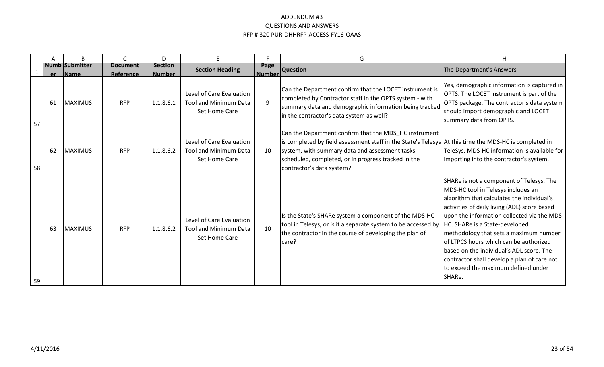|    | A  | B                                    |                              | D                               | E.                                                                        | Е                     | G                                                                                                                                                                                                                                                                                                    | H.                                                                                                                                                                                                                                                                                                                                                                                                                                                                                            |
|----|----|--------------------------------------|------------------------------|---------------------------------|---------------------------------------------------------------------------|-----------------------|------------------------------------------------------------------------------------------------------------------------------------------------------------------------------------------------------------------------------------------------------------------------------------------------------|-----------------------------------------------------------------------------------------------------------------------------------------------------------------------------------------------------------------------------------------------------------------------------------------------------------------------------------------------------------------------------------------------------------------------------------------------------------------------------------------------|
|    | er | <b>Numb Submitter</b><br><b>Name</b> | <b>Document</b><br>Reference | <b>Section</b><br><b>Number</b> | <b>Section Heading</b>                                                    | Page<br><b>Number</b> | <b>Question</b>                                                                                                                                                                                                                                                                                      | The Department's Answers                                                                                                                                                                                                                                                                                                                                                                                                                                                                      |
| 57 | 61 | <b>MAXIMUS</b>                       | <b>RFP</b>                   | 1.1.8.6.1                       | Level of Care Evaluation<br><b>Tool and Minimum Data</b><br>Set Home Care | 9                     | Can the Department confirm that the LOCET instrument is<br>completed by Contractor staff in the OPTS system - with<br>summary data and demographic information being tracked<br>in the contractor's data system as well?                                                                             | Yes, demographic information is captured in<br>OPTS. The LOCET instrument is part of the<br>OPTS package. The contractor's data system<br>should import demographic and LOCET<br>summary data from OPTS.                                                                                                                                                                                                                                                                                      |
| 58 | 62 | MAXIMUS                              | <b>RFP</b>                   | 1.1.8.6.2                       | Level of Care Evaluation<br><b>Tool and Minimum Data</b><br>Set Home Care | 10                    | Can the Department confirm that the MDS_HC instrument<br>is completed by field assessment staff in the State's Telesys At this time the MDS-HC is completed in<br>system, with summary data and assessment tasks<br>scheduled, completed, or in progress tracked in the<br>contractor's data system? | TeleSys. MDS-HC information is available for<br>importing into the contractor's system.                                                                                                                                                                                                                                                                                                                                                                                                       |
| 59 | 63 | <b>MAXIMUS</b>                       | <b>RFP</b>                   | 1.1.8.6.2                       | Level of Care Evaluation<br><b>Tool and Minimum Data</b><br>Set Home Care | 10                    | Is the State's SHARe system a component of the MDS-HC<br>tool in Telesys, or is it a separate system to be accessed by<br>the contractor in the course of developing the plan of<br>care?                                                                                                            | SHARe is not a component of Telesys. The<br>MDS-HC tool in Telesys includes an<br>algorithm that calculates the individual's<br>activities of daily living (ADL) score based<br>upon the information collected via the MDS-<br>HC. SHARe is a State-developed<br>methodology that sets a maximum number<br>of LTPCS hours which can be authorized<br>based on the individual's ADL score. The<br>contractor shall develop a plan of care not<br>to exceed the maximum defined under<br>SHARe. |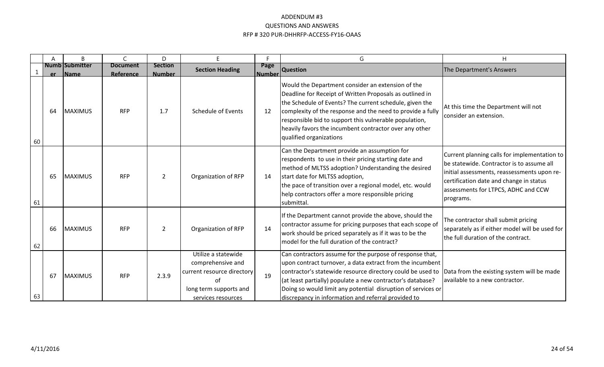|    | A  | B                                | $\mathsf{C}$                 | D                               | E.                                                                                                                           | F.                    | G                                                                                                                                                                                                                                                                                                                                                                                                                    | H                                                                                                                                                                                                                                       |
|----|----|----------------------------------|------------------------------|---------------------------------|------------------------------------------------------------------------------------------------------------------------------|-----------------------|----------------------------------------------------------------------------------------------------------------------------------------------------------------------------------------------------------------------------------------------------------------------------------------------------------------------------------------------------------------------------------------------------------------------|-----------------------------------------------------------------------------------------------------------------------------------------------------------------------------------------------------------------------------------------|
|    |    | <b>Numb Submitter</b><br>er Name | <b>Document</b><br>Reference | <b>Section</b><br><b>Number</b> | <b>Section Heading</b>                                                                                                       | Page<br><b>Number</b> | <b>Question</b>                                                                                                                                                                                                                                                                                                                                                                                                      | The Department's Answers                                                                                                                                                                                                                |
| 60 | 64 | MAXIMUS                          | <b>RFP</b>                   | 1.7                             | Schedule of Events                                                                                                           | 12                    | Would the Department consider an extension of the<br>Deadline for Receipt of Written Proposals as outlined in<br>the Schedule of Events? The current schedule, given the<br>complexity of the response and the need to provide a fully<br>responsible bid to support this vulnerable population,<br>heavily favors the incumbent contractor over any other<br>qualified organizations                                | At this time the Department will not<br>consider an extension.                                                                                                                                                                          |
| 61 | 65 | <b>MAXIMUS</b>                   | <b>RFP</b>                   | $\overline{2}$                  | Organization of RFP                                                                                                          | 14                    | Can the Department provide an assumption for<br>respondents to use in their pricing starting date and<br>method of MLTSS adoption? Understanding the desired<br>start date for MLTSS adoption,<br>the pace of transition over a regional model, etc. would<br>help contractors offer a more responsible pricing<br>submittal.                                                                                        | Current planning calls for implementation to<br>be statewide. Contractor is to assume all<br>initial assessments, reassessments upon re-<br>certification date and change in status<br>assessments for LTPCS, ADHC and CCW<br>programs. |
| 62 | 66 | MAXIMUS                          | <b>RFP</b>                   | $\overline{2}$                  | Organization of RFP                                                                                                          | 14                    | If the Department cannot provide the above, should the<br>contractor assume for pricing purposes that each scope of<br>work should be priced separately as if it was to be the<br>model for the full duration of the contract?                                                                                                                                                                                       | The contractor shall submit pricing<br>separately as if either model will be used for<br>the full duration of the contract.                                                                                                             |
| 63 | 67 | <b>MAXIMUS</b>                   | <b>RFP</b>                   | 2.3.9                           | Utilize a statewide<br>comprehensive and<br>current resource directory<br>nt<br>long term supports and<br>services resources | 19                    | Can contractors assume for the purpose of response that,<br>upon contract turnover, a data extract from the incumbent<br>contractor's statewide resource directory could be used to  Data from the existing system will be made<br>(at least partially) populate a new contractor's database?<br>Doing so would limit any potential disruption of services or<br>discrepancy in information and referral provided to | available to a new contractor.                                                                                                                                                                                                          |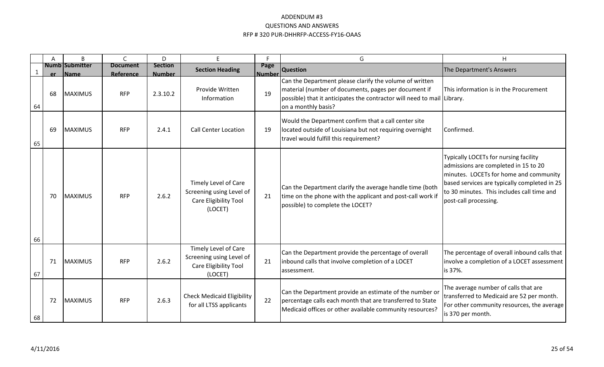|             | A         | B                                    | $\mathsf{C}$                 | D                               | F                                                                                    | E                     | G                                                                                                                                                                                                                 | Η                                                                                                                                                                                                                                              |
|-------------|-----------|--------------------------------------|------------------------------|---------------------------------|--------------------------------------------------------------------------------------|-----------------------|-------------------------------------------------------------------------------------------------------------------------------------------------------------------------------------------------------------------|------------------------------------------------------------------------------------------------------------------------------------------------------------------------------------------------------------------------------------------------|
| $\mathbf 1$ | <b>er</b> | <b>Numb Submitter</b><br><b>Name</b> | <b>Document</b><br>Reference | <b>Section</b><br><b>Number</b> | <b>Section Heading</b>                                                               | Page<br><b>Number</b> | <b>Question</b>                                                                                                                                                                                                   | The Department's Answers                                                                                                                                                                                                                       |
| 64          | 68        | MAXIMUS                              | <b>RFP</b>                   | 2.3.10.2                        | Provide Written<br>Information                                                       | 19                    | Can the Department please clarify the volume of written<br>material (number of documents, pages per document if<br>possible) that it anticipates the contractor will need to mail Library.<br>on a monthly basis? | This information is in the Procurement                                                                                                                                                                                                         |
| 65          | 69        | MAXIMUS                              | <b>RFP</b>                   | 2.4.1                           | <b>Call Center Location</b>                                                          | 19                    | Would the Department confirm that a call center site<br>located outside of Louisiana but not requiring overnight<br>travel would fulfill this requirement?                                                        | Confirmed.                                                                                                                                                                                                                                     |
| 66          | 70        | <b>MAXIMUS</b>                       | <b>RFP</b>                   | 2.6.2                           | Timely Level of Care<br>Screening using Level of<br>Care Eligibility Tool<br>(LOCET) | 21                    | Can the Department clarify the average handle time (both<br>time on the phone with the applicant and post-call work if<br>possible) to complete the LOCET?                                                        | Typically LOCETs for nursing facility<br>admissions are completed in 15 to 20<br>minutes. LOCETs for home and community<br>based services are typically completed in 25<br>to 30 minutes. This includes call time and<br>post-call processing. |
| 67          | 71        | MAXIMUS                              | <b>RFP</b>                   | 2.6.2                           | Timely Level of Care<br>Screening using Level of<br>Care Eligibility Tool<br>(LOCET) | 21                    | Can the Department provide the percentage of overall<br>inbound calls that involve completion of a LOCET<br>assessment.                                                                                           | The percentage of overall inbound calls that<br>involve a completion of a LOCET assessment<br>is 37%.                                                                                                                                          |
| 68          | 72        | MAXIMUS                              | <b>RFP</b>                   | 2.6.3                           | <b>Check Medicaid Eligibility</b><br>for all LTSS applicants                         | 22                    | Can the Department provide an estimate of the number or<br>percentage calls each month that are transferred to State<br>Medicaid offices or other available community resources?                                  | The average number of calls that are<br>transferred to Medicaid are 52 per month.<br>For other community resources, the average<br>is 370 per month.                                                                                           |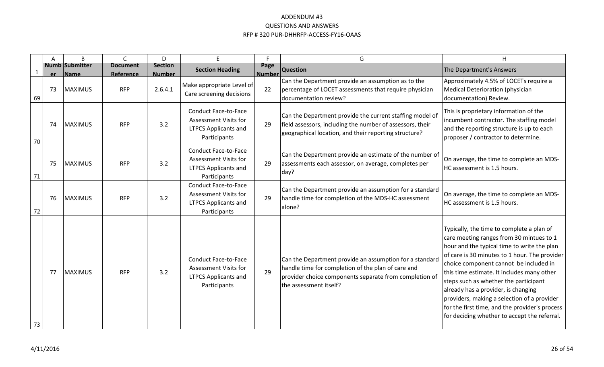|    | Α   | B                             | $\mathsf{C}$                 | D                               | E.                                                                                                         | F.                    | G                                                                                                                                                                                                 | H                                                                                                                                                                                                                                                                                                                                                                                                                                                                                                              |
|----|-----|-------------------------------|------------------------------|---------------------------------|------------------------------------------------------------------------------------------------------------|-----------------------|---------------------------------------------------------------------------------------------------------------------------------------------------------------------------------------------------|----------------------------------------------------------------------------------------------------------------------------------------------------------------------------------------------------------------------------------------------------------------------------------------------------------------------------------------------------------------------------------------------------------------------------------------------------------------------------------------------------------------|
| -1 | er. | <b>Numb Submitter</b><br>Name | <b>Document</b><br>Reference | <b>Section</b><br><b>Number</b> | <b>Section Heading</b>                                                                                     | Page<br><b>Number</b> | <b>Question</b>                                                                                                                                                                                   | The Department's Answers                                                                                                                                                                                                                                                                                                                                                                                                                                                                                       |
| 69 | 73  | MAXIMUS                       | <b>RFP</b>                   | 2.6.4.1                         | Make appropriate Level of<br>Care screening decisions                                                      | 22                    | Can the Department provide an assumption as to the<br>percentage of LOCET assessments that require physician<br>documentation review?                                                             | Approximately 4.5% of LOCETs require a<br>Medical Deterioration (physician<br>documentation) Review.                                                                                                                                                                                                                                                                                                                                                                                                           |
| 70 | 74  | MAXIMUS                       | <b>RFP</b>                   | 3.2                             | <b>Conduct Face-to-Face</b><br>Assessment Visits for<br><b>LTPCS Applicants and</b><br>Participants        | 29                    | Can the Department provide the current staffing model of<br>field assessors, including the number of assessors, their<br>geographical location, and their reporting structure?                    | This is proprietary information of the<br>incumbent contractor. The staffing model<br>and the reporting structure is up to each<br>proposer / contractor to determine.                                                                                                                                                                                                                                                                                                                                         |
| 71 | 75  | MAXIMUS                       | <b>RFP</b>                   | 3.2                             | <b>Conduct Face-to-Face</b><br>Assessment Visits for<br><b>LTPCS Applicants and</b><br>Participants        | 29                    | Can the Department provide an estimate of the number of<br>assessments each assessor, on average, completes per<br>day?                                                                           | On average, the time to complete an MDS-<br>HC assessment is 1.5 hours.                                                                                                                                                                                                                                                                                                                                                                                                                                        |
| 72 | 76  | <b>MAXIMUS</b>                | <b>RFP</b>                   | 3.2                             | <b>Conduct Face-to-Face</b><br>Assessment Visits for<br><b>LTPCS Applicants and</b><br>Participants        | 29                    | Can the Department provide an assumption for a standard<br>handle time for completion of the MDS-HC assessment<br>alone?                                                                          | On average, the time to complete an MDS-<br>HC assessment is 1.5 hours.                                                                                                                                                                                                                                                                                                                                                                                                                                        |
| 73 | 77  | <b>MAXIMUS</b>                | <b>RFP</b>                   | 3.2                             | <b>Conduct Face-to-Face</b><br><b>Assessment Visits for</b><br><b>LTPCS Applicants and</b><br>Participants | 29                    | Can the Department provide an assumption for a standard<br>handle time for completion of the plan of care and<br>provider choice components separate from completion of<br>the assessment itself? | Typically, the time to complete a plan of<br>care meeting ranges from 30 mintues to 1<br>hour and the typical time to write the plan<br>of care is 30 minutes to 1 hour. The provider<br>choice component cannot be included in<br>this time estimate. It includes many other<br>steps such as whether the participant<br>already has a provider, is changing<br>providers, making a selection of a provider<br>for the first time, and the provider's process<br>for deciding whether to accept the referral. |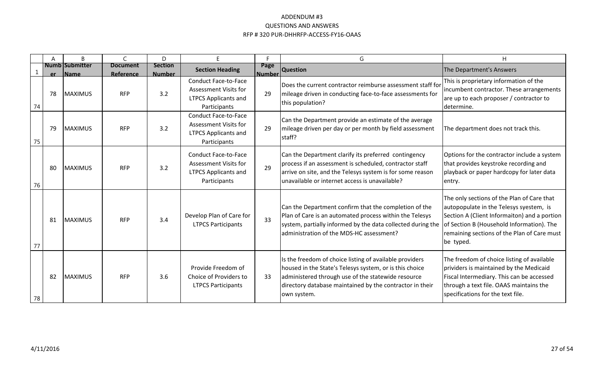|    |    | B                                    |                              | D                               | F                                                                                                          |                       | G                                                                                                                                                                                                                                                    | Η                                                                                                                                                                                                                                              |
|----|----|--------------------------------------|------------------------------|---------------------------------|------------------------------------------------------------------------------------------------------------|-----------------------|------------------------------------------------------------------------------------------------------------------------------------------------------------------------------------------------------------------------------------------------------|------------------------------------------------------------------------------------------------------------------------------------------------------------------------------------------------------------------------------------------------|
|    | er | <b>Numb Submitter</b><br><b>Name</b> | <b>Document</b><br>Reference | <b>Section</b><br><b>Number</b> | <b>Section Heading</b>                                                                                     | Page<br><b>Number</b> | <b>Question</b>                                                                                                                                                                                                                                      | The Department's Answers                                                                                                                                                                                                                       |
| 74 | 78 | MAXIMUS                              | <b>RFP</b>                   | 3.2                             | <b>Conduct Face-to-Face</b><br>Assessment Visits for<br><b>LTPCS Applicants and</b><br>Participants        | 29                    | Does the current contractor reimburse assessment staff for<br>mileage driven in conducting face-to-face assessments for<br>this population?                                                                                                          | This is proprietary information of the<br>incumbent contractor. These arrangements<br>are up to each proposer / contractor to<br>determine.                                                                                                    |
| 75 | 79 | <b>MAXIMUS</b>                       | <b>RFP</b>                   | 3.2                             | <b>Conduct Face-to-Face</b><br>Assessment Visits for<br><b>LTPCS Applicants and</b><br>Participants        | 29                    | Can the Department provide an estimate of the average<br>mileage driven per day or per month by field assessment<br>staff?                                                                                                                           | The department does not track this.                                                                                                                                                                                                            |
| 76 | 80 | <b>IMAXIMUS</b>                      | <b>RFP</b>                   | 3.2                             | <b>Conduct Face-to-Face</b><br><b>Assessment Visits for</b><br><b>LTPCS Applicants and</b><br>Participants | 29                    | Can the Department clarify its preferred contingency<br>process if an assessment is scheduled, contractor staff<br>arrive on site, and the Telesys system is for some reason<br>unavailable or internet access is unavailable?                       | Options for the contractor include a system<br>that provides keystroke recording and<br>playback or paper hardcopy for later data<br>entry.                                                                                                    |
| 77 | 81 | MAXIMUS                              | <b>RFP</b>                   | 3.4                             | Develop Plan of Care for<br><b>LTPCS Participants</b>                                                      | 33                    | Can the Department confirm that the completion of the<br>Plan of Care is an automated process within the Telesys<br>system, partially informed by the data collected during the<br>administration of the MDS-HC assessment?                          | The only sections of the Plan of Care that<br>autopopulate in the Telesys syestem, is<br>Section A (Client Informaiton) and a portion<br>of Section B (Household Information). The<br>remaining sections of the Plan of Care must<br>be typed. |
| 78 | 82 | MAXIMUS                              | <b>RFP</b>                   | 3.6                             | Provide Freedom of<br>Choice of Providers to<br><b>LTPCS Participants</b>                                  | 33                    | Is the freedom of choice listing of available providers<br>housed in the State's Telesys system, or is this choice<br>administered through use of the statewide resource<br>directory database maintained by the contractor in their<br>lown system. | The freedom of choice listing of available<br>prividers is maintained by the Medicaid<br>Fiscal Intermediary. This can be accessed<br>through a text file. OAAS maintains the<br>specifications for the text file.                             |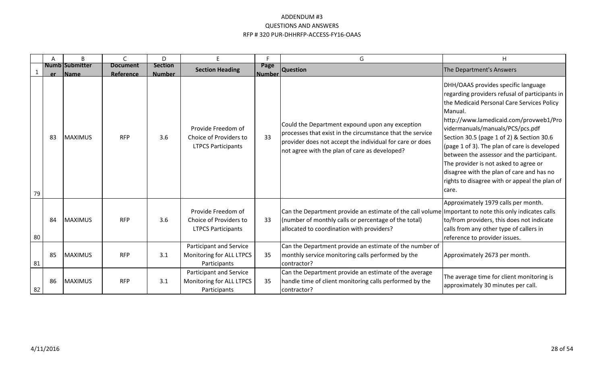|    | Α   | B                                    | $\mathsf{C}$                 | D                               | E.                                                                                                   | F                     | G                                                                                                                                                                                                                                                                     | H                                                                                                                                                                                                                                                                                                                                                                                                                                                                                                                      |
|----|-----|--------------------------------------|------------------------------|---------------------------------|------------------------------------------------------------------------------------------------------|-----------------------|-----------------------------------------------------------------------------------------------------------------------------------------------------------------------------------------------------------------------------------------------------------------------|------------------------------------------------------------------------------------------------------------------------------------------------------------------------------------------------------------------------------------------------------------------------------------------------------------------------------------------------------------------------------------------------------------------------------------------------------------------------------------------------------------------------|
|    | er. | <b>Numb Submitter</b><br><b>Name</b> | <b>Document</b><br>Reference | <b>Section</b><br><b>Number</b> | <b>Section Heading</b>                                                                               | Page<br><b>Number</b> | <b>Question</b>                                                                                                                                                                                                                                                       | The Department's Answers                                                                                                                                                                                                                                                                                                                                                                                                                                                                                               |
| 79 | -83 | <b>MAXIMUS</b>                       | <b>RFP</b>                   | 3.6                             | Provide Freedom of<br>Choice of Providers to<br><b>LTPCS Participants</b>                            | 33                    | Could the Department expound upon any exception<br>processes that exist in the circumstance that the service<br>provider does not accept the individual for care or does<br>not agree with the plan of care as developed?                                             | DHH/OAAS provides specific language<br>regarding providers refusal of participants in<br>the Medicaid Personal Care Services Policy<br>Manual.<br>http://www.lamedicaid.com/provweb1/Pro<br>vidermanuals/manuals/PCS/pcs.pdf<br>Section 30.5 (page 1 of 2) & Section 30.6<br>(page 1 of 3). The plan of care is developed<br>between the assessor and the participant.<br>The provider is not asked to agree or<br>disagree with the plan of care and has no<br>rights to disagree with or appeal the plan of<br>care. |
| 80 | 84  | <b>MAXIMUS</b>                       | <b>RFP</b>                   | 3.6                             | Provide Freedom of<br>Choice of Providers to<br><b>LTPCS Participants</b><br>Participant and Service | 33                    | Can the Department provide an estimate of the call volume Important to note this only indicates calls<br>(number of monthly calls or percentage of the total)<br>allocated to coordination with providers?<br>Can the Department provide an estimate of the number of | Approximately 1979 calls per month.<br>to/from providers, this does not indicate<br>calls from any other type of callers in<br>reference to provider issues.                                                                                                                                                                                                                                                                                                                                                           |
| 81 | 85  | <b>MAXIMUS</b>                       | <b>RFP</b>                   | 3.1                             | Monitoring for ALL LTPCS<br>Participants                                                             | 35                    | monthly service monitoring calls performed by the<br>contractor?                                                                                                                                                                                                      | Approximately 2673 per month.                                                                                                                                                                                                                                                                                                                                                                                                                                                                                          |
| 82 | 86  | <b>MAXIMUS</b>                       | <b>RFP</b>                   | 3.1                             | Participant and Service<br>Monitoring for ALL LTPCS<br>Participants                                  | 35                    | Can the Department provide an estimate of the average<br>handle time of client monitoring calls performed by the<br>contractor?                                                                                                                                       | The average time for client monitoring is<br>approximately 30 minutes per call.                                                                                                                                                                                                                                                                                                                                                                                                                                        |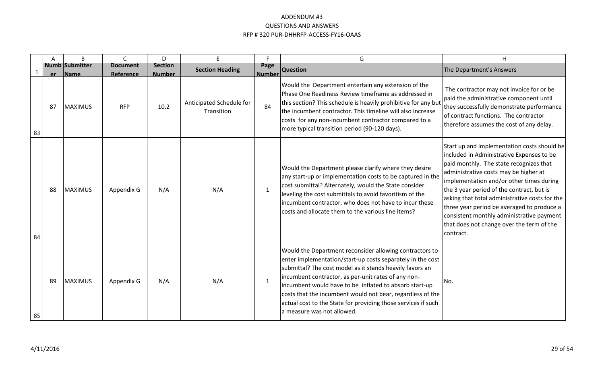|    | Α   | B                             | $\mathsf{C}$                 | D                               | F                                      | Е                     | G                                                                                                                                                                                                                                                                                                                                                                                                                                                                | H                                                                                                                                                                                                                                                                                                                                                                                                                                                                            |
|----|-----|-------------------------------|------------------------------|---------------------------------|----------------------------------------|-----------------------|------------------------------------------------------------------------------------------------------------------------------------------------------------------------------------------------------------------------------------------------------------------------------------------------------------------------------------------------------------------------------------------------------------------------------------------------------------------|------------------------------------------------------------------------------------------------------------------------------------------------------------------------------------------------------------------------------------------------------------------------------------------------------------------------------------------------------------------------------------------------------------------------------------------------------------------------------|
|    | er. | <b>Numb Submitter</b><br>Name | <b>Document</b><br>Reference | <b>Section</b><br><b>Number</b> | <b>Section Heading</b>                 | Page<br><b>Number</b> | <b>Question</b>                                                                                                                                                                                                                                                                                                                                                                                                                                                  | The Department's Answers                                                                                                                                                                                                                                                                                                                                                                                                                                                     |
| 83 | 87  | MAXIMUS                       | <b>RFP</b>                   | 10.2                            | Anticipated Schedule for<br>Transition | 84                    | Would the Department entertain any extension of the<br>Phase One Readiness Review timeframe as addressed in<br>this section? This schedule is heavily prohibitive for any but<br>the incumbent contractor. This timeline will also increase<br>costs for any non-incumbent contractor compared to a<br>more typical transition period (90-120 days).                                                                                                             | The contractor may not invoice for or be<br>paid the administrative component until<br>they successfully demonstrate performance<br>of contract functions. The contractor<br>therefore assumes the cost of any delay.                                                                                                                                                                                                                                                        |
| 84 | 88  | <b>MAXIMUS</b>                | Appendix G                   | N/A                             | N/A                                    | 1                     | Would the Department please clarify where they desire<br>any start-up or implementation costs to be captured in the<br>cost submittal? Alternately, would the State consider<br>leveling the cost submittals to avoid favoritism of the<br>incumbent contractor, who does not have to incur these<br>costs and allocate them to the various line items?                                                                                                          | Start up and implementation costs should be<br>included in Administrative Expenses to be<br>paid monthly. The state recognizes that<br>administrative costs may be higher at<br>implementation and/or other times during<br>the 3 year period of the contract, but is<br>asking that total administrative costs for the<br>three year period be averaged to produce a<br>consistent monthly administrative payment<br>that does not change over the term of the<br>contract. |
| 85 | 89  | MAXIMUS                       | Appendix G                   | N/A                             | N/A                                    | 1                     | Would the Department reconsider allowing contractors to<br>enter implementation/start-up costs separately in the cost<br>submittal? The cost model as it stands heavily favors an<br>lincumbent contractor, as per-unit rates of any non-<br>incumbent would have to be inflated to absorb start-up<br>costs that the incumbent would not bear, regardless of the<br>actual cost to the State for providing those services if such<br>a measure was not allowed. | No.                                                                                                                                                                                                                                                                                                                                                                                                                                                                          |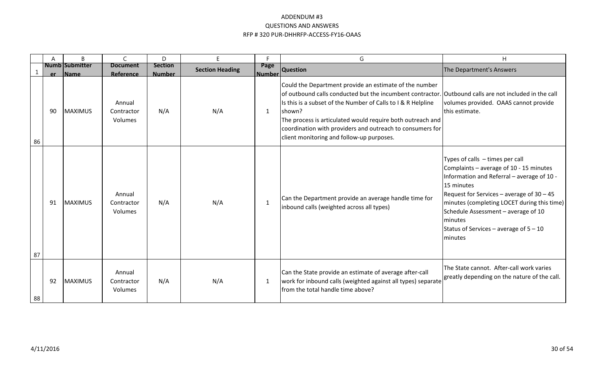|    | A  | B                                    | $\mathsf{C}$                    | D                               | E                      | F.                    | G                                                                                                                                                                                                                                                                                                                                                                                                                 | H                                                                                                                                                                                                                                                                                                                                                             |
|----|----|--------------------------------------|---------------------------------|---------------------------------|------------------------|-----------------------|-------------------------------------------------------------------------------------------------------------------------------------------------------------------------------------------------------------------------------------------------------------------------------------------------------------------------------------------------------------------------------------------------------------------|---------------------------------------------------------------------------------------------------------------------------------------------------------------------------------------------------------------------------------------------------------------------------------------------------------------------------------------------------------------|
|    | er | <b>Numb Submitter</b><br><b>Name</b> | <b>Document</b><br>Reference    | <b>Section</b><br><b>Number</b> | <b>Section Heading</b> | Page<br><b>Number</b> | <b>Question</b>                                                                                                                                                                                                                                                                                                                                                                                                   | The Department's Answers                                                                                                                                                                                                                                                                                                                                      |
| 86 | 90 | <b>MAXIMUS</b>                       | Annual<br>Contractor<br>Volumes | N/A                             | N/A                    | 1                     | Could the Department provide an estimate of the number<br>of outbound calls conducted but the incumbent contractor. Outbound calls are not included in the call<br>Is this is a subset of the Number of Calls to I & R Helpline<br>shown?<br>The process is articulated would require both outreach and<br>coordination with providers and outreach to consumers for<br>client monitoring and follow-up purposes. | volumes provided. OAAS cannot provide<br>this estimate.                                                                                                                                                                                                                                                                                                       |
| 87 | 91 | <b>MAXIMUS</b>                       | Annual<br>Contractor<br>Volumes | N/A                             | N/A                    | $\mathbf{1}$          | Can the Department provide an average handle time for<br>inbound calls (weighted across all types)                                                                                                                                                                                                                                                                                                                | Types of calls - times per call<br>Complaints - average of 10 - 15 minutes<br>Information and Referral - average of 10 -<br>15 minutes<br>Request for Services – average of $30 - 45$<br>minutes (completing LOCET during this time)<br>Schedule Assessment - average of 10<br><b>Iminutes</b><br>Status of Services – average of $5 - 10$<br><b>Iminutes</b> |
| 88 | 92 | <b>MAXIMUS</b>                       | Annual<br>Contractor<br>Volumes | N/A                             | N/A                    | 1                     | Can the State provide an estimate of average after-call<br>work for inbound calls (weighted against all types) separate<br>Ifrom the total handle time above?                                                                                                                                                                                                                                                     | The State cannot. After-call work varies<br>greatly depending on the nature of the call.                                                                                                                                                                                                                                                                      |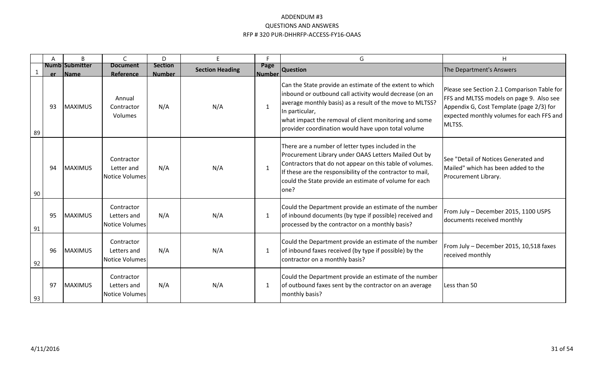|    | A  | B                                    | $\mathsf{C}$                                       | D                               | E.                     | E                     | G                                                                                                                                                                                                                                                                                                                | H                                                                                                                                                                                          |
|----|----|--------------------------------------|----------------------------------------------------|---------------------------------|------------------------|-----------------------|------------------------------------------------------------------------------------------------------------------------------------------------------------------------------------------------------------------------------------------------------------------------------------------------------------------|--------------------------------------------------------------------------------------------------------------------------------------------------------------------------------------------|
|    | er | <b>Numb Submitter</b><br><b>Name</b> | <b>Document</b><br>Reference                       | <b>Section</b><br><b>Number</b> | <b>Section Heading</b> | Page<br><b>Number</b> | <b>Question</b>                                                                                                                                                                                                                                                                                                  | The Department's Answers                                                                                                                                                                   |
| 89 | 93 | <b>MAXIMUS</b>                       | Annual<br>Contractor<br>Volumes                    | N/A                             | N/A                    | $\mathbf{1}$          | Can the State provide an estimate of the extent to which<br>inbound or outbound call activity would decrease (on an<br>average monthly basis) as a result of the move to MLTSS?<br>In particular,<br>what impact the removal of client monitoring and some<br>provider coordination would have upon total volume | Please see Section 2.1 Comparison Table for<br>FFS and MLTSS models on page 9. Also see<br>Appendix G, Cost Template (page 2/3) for<br>expected monthly volumes for each FFS and<br>MLTSS. |
| 90 | 94 | <b>MAXIMUS</b>                       | Contractor<br>Letter and<br><b>Notice Volumes</b>  | N/A                             | N/A                    | 1                     | There are a number of letter types included in the<br>Procurement Library under OAAS Letters Mailed Out by<br>Contractors that do not appear on this table of volumes.<br>If these are the responsibility of the contractor to mail,<br>could the State provide an estimate of volume for each<br>lone?          | See "Detail of Notices Generated and<br>Mailed" which has been added to the<br>Procurement Library.                                                                                        |
| 91 | 95 | <b>MAXIMUS</b>                       | Contractor<br>Letters and<br><b>Notice Volumes</b> | N/A                             | N/A                    | 1                     | Could the Department provide an estimate of the number<br>of inbound documents (by type if possible) received and<br>processed by the contractor on a monthly basis?                                                                                                                                             | From July - December 2015, 1100 USPS<br>documents received monthly                                                                                                                         |
| 92 | 96 | <b>MAXIMUS</b>                       | Contractor<br>Letters and<br><b>Notice Volumes</b> | N/A                             | N/A                    | 1                     | Could the Department provide an estimate of the number<br>of inbound faxes received (by type if possible) by the<br>contractor on a monthly basis?                                                                                                                                                               | From July - December 2015, 10,518 faxes<br>received monthly                                                                                                                                |
| 93 | 97 | <b>MAXIMUS</b>                       | Contractor<br>Letters and<br><b>Notice Volumes</b> | N/A                             | N/A                    | 1                     | Could the Department provide an estimate of the number<br>of outbound faxes sent by the contractor on an average<br>monthly basis?                                                                                                                                                                               | Less than 50                                                                                                                                                                               |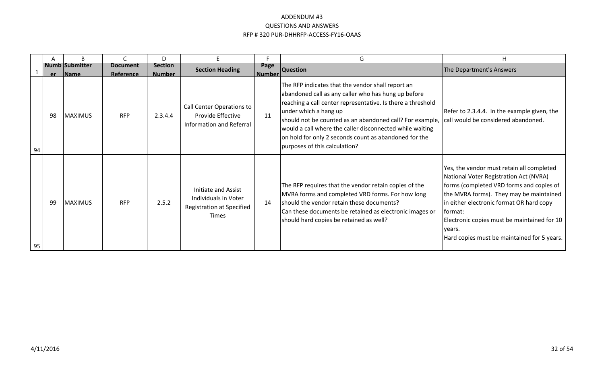|    |    | B                         |                              | D                               |                                                                                          |                | G                                                                                                                                                                                                                                                                                                                                                                                                                  | H                                                                                                                                                                                                                                                                                                                                          |
|----|----|---------------------------|------------------------------|---------------------------------|------------------------------------------------------------------------------------------|----------------|--------------------------------------------------------------------------------------------------------------------------------------------------------------------------------------------------------------------------------------------------------------------------------------------------------------------------------------------------------------------------------------------------------------------|--------------------------------------------------------------------------------------------------------------------------------------------------------------------------------------------------------------------------------------------------------------------------------------------------------------------------------------------|
|    |    | Numb Submitter<br>er Name | <b>Document</b><br>Reference | <b>Section</b><br><b>Number</b> | <b>Section Heading</b>                                                                   | Page<br>Number | <b>Question</b>                                                                                                                                                                                                                                                                                                                                                                                                    | The Department's Answers                                                                                                                                                                                                                                                                                                                   |
| 94 | 98 | <b>MAXIMUS</b>            | <b>RFP</b>                   | 2.3.4.4                         | Call Center Operations to<br>Provide Effective<br>Information and Referral               | 11             | The RFP indicates that the vendor shall report an<br>abandoned call as any caller who has hung up before<br>reaching a call center representative. Is there a threshold<br>under which a hang up<br>should not be counted as an abandoned call? For example,<br>would a call where the caller disconnected while waiting<br>on hold for only 2 seconds count as abandoned for the<br>purposes of this calculation? | Refer to 2.3.4.4. In the example given, the<br>call would be considered abandoned.                                                                                                                                                                                                                                                         |
| 95 | 99 | MAXIMUS                   | <b>RFP</b>                   | 2.5.2                           | Initiate and Assist<br>Individuals in Voter<br>Registration at Specified<br><b>Times</b> | 14             | The RFP requires that the vendor retain copies of the<br>MVRA forms and completed VRD forms. For how long<br>should the vendor retain these documents?<br>Can these documents be retained as electronic images or<br>should hard copies be retained as well?                                                                                                                                                       | Yes, the vendor must retain all completed<br>National Voter Registration Act (NVRA)<br>forms (completed VRD forms and copies of<br>the MVRA forms). They may be maintained<br>in either electronic format OR hard copy<br>lformat:<br>Electronic copies must be maintained for 10<br>vears.<br>Hard copies must be maintained for 5 years. |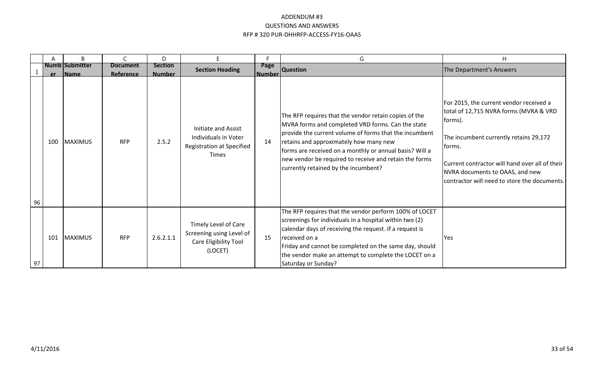|    |     | B                                     |                              | D                               |                                                                                          | Е                  | G                                                                                                                                                                                                                                                                                                                                                                           | H                                                                                                                                                                                                                                                                                     |
|----|-----|---------------------------------------|------------------------------|---------------------------------|------------------------------------------------------------------------------------------|--------------------|-----------------------------------------------------------------------------------------------------------------------------------------------------------------------------------------------------------------------------------------------------------------------------------------------------------------------------------------------------------------------------|---------------------------------------------------------------------------------------------------------------------------------------------------------------------------------------------------------------------------------------------------------------------------------------|
|    | er. | <b>Numb Submitter</b><br><b>IName</b> | <b>Document</b><br>Reference | <b>Section</b><br><b>Number</b> | <b>Section Heading</b>                                                                   | Page<br>l Number l | <b>Question</b>                                                                                                                                                                                                                                                                                                                                                             | The Department's Answers                                                                                                                                                                                                                                                              |
| 96 | 100 | <b>MAXIMUS</b>                        | <b>RFP</b>                   | 2.5.2                           | Initiate and Assist<br>Individuals in Voter<br>Registration at Specified<br><b>Times</b> | 14                 | The RFP requires that the vendor retain copies of the<br>MVRA forms and completed VRD forms. Can the state<br>provide the current volume of forms that the incumbent<br>retains and approximately how many new<br>forms are received on a monthly or annual basis? Will a<br>new vendor be required to receive and retain the forms<br>currently retained by the incumbent? | For 2015, the current vendor received a<br>total of 12,715 NVRA forms (MVRA & VRD<br>forms).<br>The incumbent currently retains 29,172<br>forms.<br>Current contractor will hand over all of their<br>NVRA documents to OAAS, and new<br>contractor will need to store the documents. |
| 97 | 101 | MAXIMUS                               | <b>RFP</b>                   | 2.6.2.1.1                       | Timely Level of Care<br>Screening using Level of<br>Care Eligibility Tool<br>(LOCET)     | 15                 | The RFP requires that the vendor perform 100% of LOCET<br>screenings for individuals in a hospital within two (2)<br>calendar days of receiving the request. If a request is<br>received on a<br>Friday and cannot be completed on the same day, should<br>the vendor make an attempt to complete the LOCET on a<br>Saturday or Sunday?                                     | Yes                                                                                                                                                                                                                                                                                   |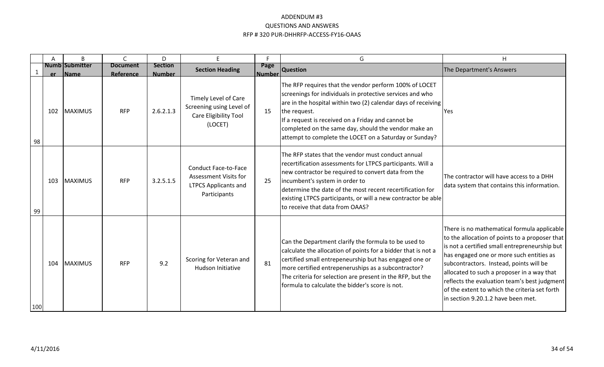|     | A   | B                             | C.                           | D                               | F.                                                                                                         | E.                    | G                                                                                                                                                                                                                                                                                                                                                                            | H                                                                                                                                                                                                                                                                                                                                                                                                                          |
|-----|-----|-------------------------------|------------------------------|---------------------------------|------------------------------------------------------------------------------------------------------------|-----------------------|------------------------------------------------------------------------------------------------------------------------------------------------------------------------------------------------------------------------------------------------------------------------------------------------------------------------------------------------------------------------------|----------------------------------------------------------------------------------------------------------------------------------------------------------------------------------------------------------------------------------------------------------------------------------------------------------------------------------------------------------------------------------------------------------------------------|
|     | er  | <b>Numb Submitter</b><br>Name | <b>Document</b><br>Reference | <b>Section</b><br><b>Number</b> | <b>Section Heading</b>                                                                                     | Page<br><b>Number</b> | <b>Question</b>                                                                                                                                                                                                                                                                                                                                                              | The Department's Answers                                                                                                                                                                                                                                                                                                                                                                                                   |
| 98  | 102 | <b>MAXIMUS</b>                | <b>RFP</b>                   | 2.6.2.1.3                       | Timely Level of Care<br>Screening using Level of<br>Care Eligibility Tool<br>(LOCET)                       | 15                    | The RFP requires that the vendor perform 100% of LOCET<br>screenings for individuals in protective services and who<br>are in the hospital within two (2) calendar days of receiving<br>the request.<br>If a request is received on a Friday and cannot be<br>completed on the same day, should the vendor make an<br>attempt to complete the LOCET on a Saturday or Sunday? | Yes                                                                                                                                                                                                                                                                                                                                                                                                                        |
| 99  | 103 | <b>MAXIMUS</b>                | <b>RFP</b>                   | 3.2.5.1.5                       | <b>Conduct Face-to-Face</b><br><b>Assessment Visits for</b><br><b>LTPCS Applicants and</b><br>Participants | 25                    | The RFP states that the vendor must conduct annual<br>recertification assessments for LTPCS participants. Will a<br>new contractor be required to convert data from the<br>incumbent's system in order to<br>Idetermine the date of the most recent recertification for<br>existing LTPCS participants, or will a new contractor be able<br>to receive that data from OAAS?  | The contractor will have access to a DHH<br>data system that contains this information.                                                                                                                                                                                                                                                                                                                                    |
| 100 | 104 | <b>MAXIMUS</b>                | <b>RFP</b>                   | 9.2                             | Scoring for Veteran and<br>Hudson Initiative                                                               | 81                    | Can the Department clarify the formula to be used to<br>calculate the allocation of points for a bidder that is not a<br>certified small entrepeneurship but has engaged one or<br>more certified entrepeneruships as a subcontractor?<br>The criteria for selection are present in the RFP, but the<br>formula to calculate the bidder's score is not.                      | There is no mathematical formula applicable<br>to the allocation of points to a proposer that<br>is not a certified small entrepreneurship but<br>has engaged one or more such entities as<br>subcontractors. Instead, points will be<br>allocated to such a proposer in a way that<br>reflects the evaluation team's best judgment<br>of the extent to which the criteria set forth<br>in section 9.20.1.2 have been met. |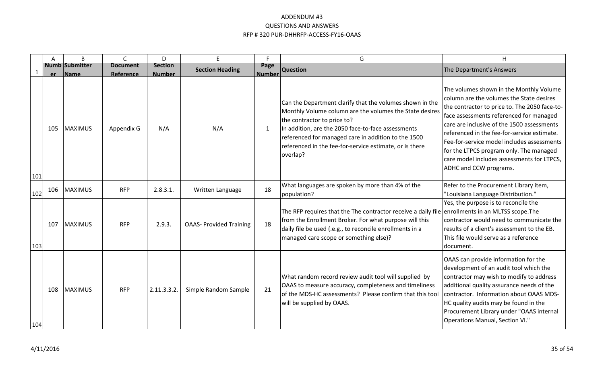|              | A         | B                                    | $\mathsf{C}$                 | D                               | E                              | Е                     | G                                                                                                                                                                                                                                                                                                                                      | H                                                                                                                                                                                                                                                                                                                                                                                                                                             |
|--------------|-----------|--------------------------------------|------------------------------|---------------------------------|--------------------------------|-----------------------|----------------------------------------------------------------------------------------------------------------------------------------------------------------------------------------------------------------------------------------------------------------------------------------------------------------------------------------|-----------------------------------------------------------------------------------------------------------------------------------------------------------------------------------------------------------------------------------------------------------------------------------------------------------------------------------------------------------------------------------------------------------------------------------------------|
| $\mathbf{1}$ | <b>er</b> | <b>Numb Submitter</b><br><b>Name</b> | <b>Document</b><br>Reference | <b>Section</b><br><b>Number</b> | <b>Section Heading</b>         | Page<br><b>Number</b> | <b>Question</b>                                                                                                                                                                                                                                                                                                                        | The Department's Answers                                                                                                                                                                                                                                                                                                                                                                                                                      |
| 101          | 105       | <b>MAXIMUS</b>                       | Appendix G                   | N/A                             | N/A                            | 1                     | Can the Department clarify that the volumes shown in the<br>Monthly Volume column are the volumes the State desires<br>the contractor to price to?<br>In addition, are the 2050 face-to-face assessments<br>referenced for managed care in addition to the 1500<br>referenced in the fee-for-service estimate, or is there<br>overlap? | The volumes shown in the Monthly Volume<br>column are the volumes the State desires<br>the contractor to price to. The 2050 face-to-<br>face assessments referenced for managed<br>care are inclusive of the 1500 assessments<br>referenced in the fee-for-service estimate.<br>Fee-for-service model includes assessments<br>for the LTPCS program only. The managed<br>care model includes assessments for LTPCS,<br>ADHC and CCW programs. |
| 102          | 106       | MAXIMUS                              | <b>RFP</b>                   | $2.8.3.1$ .                     | Written Language               | 18                    | What languages are spoken by more than 4% of the<br>population?                                                                                                                                                                                                                                                                        | Refer to the Procurement Library item,<br>'Louisiana Language Distribution."                                                                                                                                                                                                                                                                                                                                                                  |
| 103          | 107       | <b>MAXIMUS</b>                       | <b>RFP</b>                   | 2.9.3.                          | <b>OAAS- Provided Training</b> | 18                    | The RFP requires that the The contractor receive a daily file enrollments in an MLTSS scope. The<br>from the Enrollment Broker. For what purpose will this<br>daily file be used (.e.g., to reconcile enrollments in a<br>managed care scope or something else)?                                                                       | Yes, the purpose is to reconcile the<br>contractor would need to communicate the<br>results of a client's assessment to the EB.<br>This file would serve as a reference<br>document.                                                                                                                                                                                                                                                          |
| 104          | 108       | <b>MAXIMUS</b>                       | <b>RFP</b>                   | 2.11.3.3.2.                     | Simple Random Sample           | 21                    | What random record review audit tool will supplied by<br>OAAS to measure accuracy, completeness and timeliness<br>of the MDS-HC assessments? Please confirm that this tool<br>will be supplied by OAAS.                                                                                                                                | OAAS can provide information for the<br>development of an audit tool which the<br>contractor may wish to modify to address<br>additional quality assurance needs of the<br>contractor. Information about OAAS MDS-<br>HC quality audits may be found in the<br>Procurement Library under "OAAS internal<br>Operations Manual, Section VI."                                                                                                    |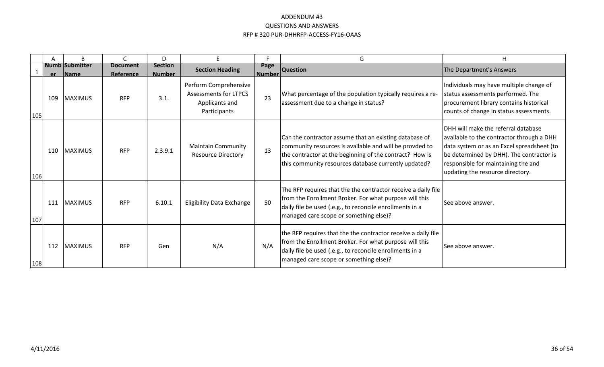|     | A   | B                                    | $\subset$                    | D                               | E.                                                                                      | с                  | G                                                                                                                                                                                                                                    | H                                                                                                                                                                                                                                                             |
|-----|-----|--------------------------------------|------------------------------|---------------------------------|-----------------------------------------------------------------------------------------|--------------------|--------------------------------------------------------------------------------------------------------------------------------------------------------------------------------------------------------------------------------------|---------------------------------------------------------------------------------------------------------------------------------------------------------------------------------------------------------------------------------------------------------------|
|     | er  | <b>Numb Submitter</b><br><b>Name</b> | <b>Document</b><br>Reference | <b>Section</b><br><b>Number</b> | <b>Section Heading</b>                                                                  | Page<br>l Number l | <b>Question</b>                                                                                                                                                                                                                      | The Department's Answers                                                                                                                                                                                                                                      |
| 105 | 109 | <b>MAXIMUS</b>                       | <b>RFP</b>                   | 3.1.                            | Perform Comprehensive<br><b>Assessments for LTPCS</b><br>Applicants and<br>Participants | 23                 | What percentage of the population typically requires a re-<br>assessment due to a change in status?                                                                                                                                  | Individuals may have multiple change of<br>status assessments performed. The<br>procurement library contains historical<br>counts of change in status assessments.                                                                                            |
| 106 | 110 | <b>MAXIMUS</b>                       | <b>RFP</b>                   | 2.3.9.1                         | <b>Maintain Community</b><br><b>Resource Directory</b>                                  | 13                 | Can the contractor assume that an existing database of<br>community resources is available and will be provded to<br>the contractor at the beginning of the contract? How is<br>this community resources database currently updated? | <b>IDHH will make the referral database</b><br>available to the contractor through a DHH<br>data system or as an Excel spreadsheet (to<br>be determined by DHH). The contractor is<br>responsible for maintaining the and<br>updating the resource directory. |
| 107 | 111 | <b>MAXIMUS</b>                       | <b>RFP</b>                   | 6.10.1                          | <b>Eligibility Data Exchange</b>                                                        | 50                 | The RFP requires that the the contractor receive a daily file<br>from the Enrollment Broker. For what purpose will this<br>daily file be used (.e.g., to reconcile enrollments in a<br>managed care scope or something else)?        | <b>See above answer.</b>                                                                                                                                                                                                                                      |
| 108 | 112 | <b>MAXIMUS</b>                       | <b>RFP</b>                   | Gen                             | N/A                                                                                     | N/A                | the RFP requires that the the contractor receive a daily file<br>from the Enrollment Broker. For what purpose will this<br>daily file be used (.e.g., to reconcile enrollments in a<br>managed care scope or something else)?        | See above answer.                                                                                                                                                                                                                                             |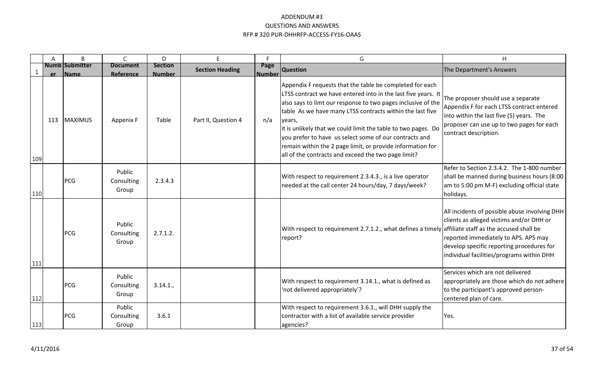|     | A   | <sub>R</sub>                         | C                             | D                               | E.                     | E.                    | G                                                                                                                                                                                                                                                                                                                                                                                                                                                                                                                 | H                                                                                                                                                                                                                           |
|-----|-----|--------------------------------------|-------------------------------|---------------------------------|------------------------|-----------------------|-------------------------------------------------------------------------------------------------------------------------------------------------------------------------------------------------------------------------------------------------------------------------------------------------------------------------------------------------------------------------------------------------------------------------------------------------------------------------------------------------------------------|-----------------------------------------------------------------------------------------------------------------------------------------------------------------------------------------------------------------------------|
|     | er. | <b>Numb Submitter</b><br><b>Name</b> | <b>Document</b><br>Reference  | <b>Section</b><br><b>Number</b> | <b>Section Heading</b> | Page<br><b>Number</b> | <b>Question</b>                                                                                                                                                                                                                                                                                                                                                                                                                                                                                                   | The Department's Answers                                                                                                                                                                                                    |
| 109 | 113 | <b>MAXIMUS</b>                       | Appenix F                     | Table                           | Part II, Question 4    | n/a                   | Appendix F requests that the table be completed for each<br>LTSS contract we have entered into in the last five years. It<br>also says to limt our response to two pages inclusive of the<br>table As we have many LTSS contracts within the last five<br>lyears,<br>it is unlikely that we could limit the table to two pages. Do<br>you prefer to have us select some of our contracts and<br>remain within the 2 page limit, or provide information for<br>all of the contracts and exceed the two page limit? | The proposer should use a separate<br>Appendix F for each LTSS contract entered<br>into within the last five (5) years. The<br>proposer can use up to two pages for each<br>contract description.                           |
| 110 |     | <b>PCG</b>                           | Public<br>Consulting<br>Group | 2.3.4.3                         |                        |                       | With respect to requirement 2.3.4.3., is a live operator<br>needed at the call center 24 hours/day, 7 days/week?                                                                                                                                                                                                                                                                                                                                                                                                  | Refer to Section 2.3.4.2. The 1-800 number<br>shall be manned during business hours (8:00<br>am to 5:00 pm M-F) excluding official state<br>holidays.                                                                       |
| 111 |     | PCG                                  | Public<br>Consulting<br>Group | 2.7.1.2.                        |                        |                       | With respect to requirement 2.7.1.2., what defines a timely affiliate staff as the accused shall be<br>report?                                                                                                                                                                                                                                                                                                                                                                                                    | All incidents of possible abuse involving DHH<br>clients as alleged victims and/or DHH or<br>reported immediately to APS. APS may<br>develop specific reporting procedures for<br>individual facilities/programs within DHH |
| 112 |     | <b>PCG</b>                           | Public<br>Consulting<br>Group | 3.14.1.                         |                        |                       | With respect to requirement 3.14.1., what is defined as<br>'not delivered appropriately'?                                                                                                                                                                                                                                                                                                                                                                                                                         | Services which are not delivered<br>appropriately are those which do not adhere<br>to the participant's approved person-<br>centered plan of care.                                                                          |
| 113 |     | <b>PCG</b>                           | Public<br>Consulting<br>Group | 3.6.1                           |                        |                       | With respect to requirement 3.6.1., will DHH supply the<br>contractor with a list of available service provider<br>agencies?                                                                                                                                                                                                                                                                                                                                                                                      | Yes.                                                                                                                                                                                                                        |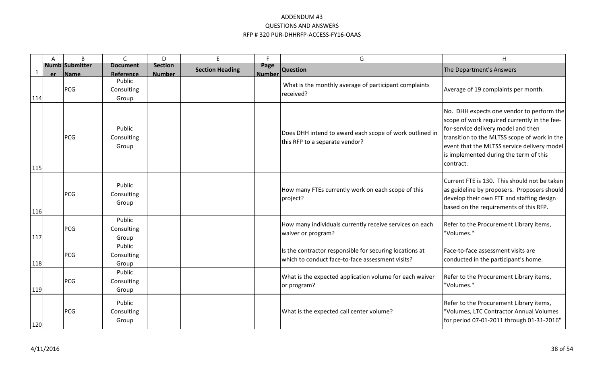|              | A   | B                                    | $\mathsf{C}$                        | D                               | E                      | Е                     | G                                                                                                           | H                                                                                                                                                                                                                                                                                      |
|--------------|-----|--------------------------------------|-------------------------------------|---------------------------------|------------------------|-----------------------|-------------------------------------------------------------------------------------------------------------|----------------------------------------------------------------------------------------------------------------------------------------------------------------------------------------------------------------------------------------------------------------------------------------|
| $\mathbf{1}$ | er. | <b>Numb Submitter</b><br><b>Name</b> | <b>Document</b><br><b>Reference</b> | <b>Section</b><br><b>Number</b> | <b>Section Heading</b> | Page<br><b>Number</b> | <b>Question</b>                                                                                             | The Department's Answers                                                                                                                                                                                                                                                               |
| 114          |     | PCG                                  | Public<br>Consulting<br>Group       |                                 |                        |                       | What is the monthly average of participant complaints<br>received?                                          | Average of 19 complaints per month.                                                                                                                                                                                                                                                    |
| 115          |     | PCG                                  | Public<br>Consulting<br>Group       |                                 |                        |                       | Does DHH intend to award each scope of work outlined in<br>this RFP to a separate vendor?                   | No. DHH expects one vendor to perform the<br>scope of work required currently in the fee-<br>for-service delivery model and then<br>transition to the MLTSS scope of work in the<br>event that the MLTSS service delivery model<br>is implemented during the term of this<br>contract. |
| 116          |     | PCG                                  | Public<br>Consulting<br>Group       |                                 |                        |                       | How many FTEs currently work on each scope of this<br>project?                                              | Current FTE is 130. This should not be taken<br>as guideline by proposers. Proposers should<br>develop their own FTE and staffing design<br>based on the requirements of this RFP.                                                                                                     |
| 117          |     | PCG                                  | Public<br>Consulting<br>Group       |                                 |                        |                       | How many individuals currently receive services on each<br>waiver or program?                               | Refer to the Procurement Library items,<br>"Volumes."                                                                                                                                                                                                                                  |
| 118          |     | PCG                                  | Public<br>Consulting<br>Group       |                                 |                        |                       | Is the contractor responsible for securing locations at<br>which to conduct face-to-face assessment visits? | Face-to-face assessment visits are<br>conducted in the participant's home.                                                                                                                                                                                                             |
| 119          |     | PCG                                  | Public<br>Consulting<br>Group       |                                 |                        |                       | What is the expected application volume for each waiver<br>or program?                                      | Refer to the Procurement Library items,<br>"Volumes."                                                                                                                                                                                                                                  |
| 120          |     | PCG                                  | Public<br>Consulting<br>Group       |                                 |                        |                       | What is the expected call center volume?                                                                    | Refer to the Procurement Library items,<br>"Volumes, LTC Contractor Annual Volumes<br>for period 07-01-2011 through 01-31-2016"                                                                                                                                                        |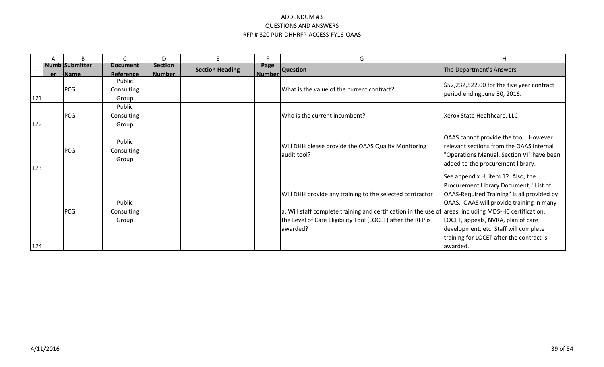|     | Α   | B                     | $\mathsf{C}$                  | D              |                        |                | G                                                                                                                                                                                                                                              | H                                                                                                                                                                                                                                                                                                             |
|-----|-----|-----------------------|-------------------------------|----------------|------------------------|----------------|------------------------------------------------------------------------------------------------------------------------------------------------------------------------------------------------------------------------------------------------|---------------------------------------------------------------------------------------------------------------------------------------------------------------------------------------------------------------------------------------------------------------------------------------------------------------|
|     |     | <b>Numb Submitter</b> | <b>Document</b>               | <b>Section</b> | <b>Section Heading</b> | Page           | <b>Question</b>                                                                                                                                                                                                                                | The Department's Answers                                                                                                                                                                                                                                                                                      |
|     | er. | <b>IName</b>          | Reference                     | <b>Number</b>  |                        | <u> Number</u> |                                                                                                                                                                                                                                                |                                                                                                                                                                                                                                                                                                               |
| 121 |     | PCG                   | Public<br>Consulting<br>Group |                |                        |                | What is the value of the current contract?                                                                                                                                                                                                     | $$52,232,522.00$ for the five year contract<br>period ending June 30, 2016.                                                                                                                                                                                                                                   |
|     |     |                       | Public                        |                |                        |                |                                                                                                                                                                                                                                                |                                                                                                                                                                                                                                                                                                               |
| 122 |     | PCG                   | Consulting<br>Group           |                |                        |                | Who is the current incumbent?                                                                                                                                                                                                                  | Xerox State Healthcare, LLC                                                                                                                                                                                                                                                                                   |
| 123 |     | PCG                   | Public<br>Consulting<br>Group |                |                        |                | Will DHH please provide the OAAS Quality Monitoring<br>audit tool?                                                                                                                                                                             | OAAS cannot provide the tool. However<br>relevant sections from the OAAS internal<br>'Operations Manual, Section VI" have been<br>added to the procurement library.                                                                                                                                           |
| 124 |     | PCG                   | Public<br>Consulting<br>Group |                |                        |                | Will DHH provide any training to the selected contractor<br>a. Will staff complete training and certification in the use of areas, including MDS-HC certification,<br>the Level of Care Eligibility Tool (LOCET) after the RFP is<br>lawarded? | See appendix H, item 12. Also, the<br>Procurement Library Document, "List of<br>OAAS-Required Training" is all provided by<br>OAAS. OAAS will provide training in many<br>LOCET, appeals, NVRA, plan of care<br>development, etc. Staff will complete<br>training for LOCET after the contract is<br>awarded. |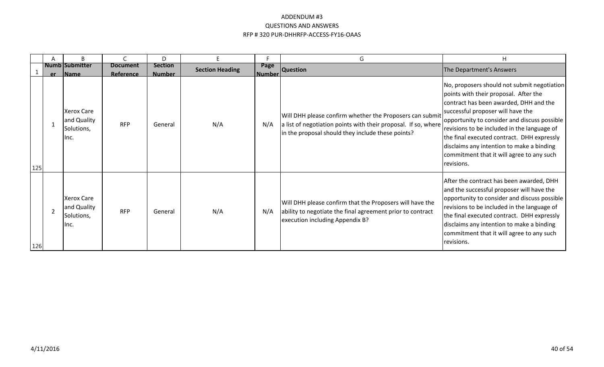|     | B                                                       |                              | D                               |                        |                        | G                                                                                                                                                                               | H                                                                                                                                                                                                                                                                                                                                                                                                                        |
|-----|---------------------------------------------------------|------------------------------|---------------------------------|------------------------|------------------------|---------------------------------------------------------------------------------------------------------------------------------------------------------------------------------|--------------------------------------------------------------------------------------------------------------------------------------------------------------------------------------------------------------------------------------------------------------------------------------------------------------------------------------------------------------------------------------------------------------------------|
|     | <b>Numb Submitter</b><br>er Name                        | <b>Document</b><br>Reference | <b>Section</b><br><b>Number</b> | <b>Section Heading</b> | Page<br><u> Number</u> | <b>Question</b>                                                                                                                                                                 | The Department's Answers                                                                                                                                                                                                                                                                                                                                                                                                 |
| 125 | <b>Xerox Care</b><br>and Quality<br>Solutions,<br>llnc. | <b>RFP</b>                   | General                         | N/A                    | N/A                    | Will DHH please confirm whether the Proposers can submit<br>a list of negotiation points with their proposal. If so, where<br>in the proposal should they include these points? | No, proposers should not submit negotiation<br>points with their proposal. After the<br>contract has been awarded, DHH and the<br>successful proposer will have the<br>opportunity to consider and discuss possible<br>revisions to be included in the language of<br>the final executed contract. DHH expressly<br>disclaims any intention to make a binding<br>commitment that it will agree to any such<br>revisions. |
| 126 | <b>Xerox Care</b><br>and Quality<br>Solutions,<br>llnc. | <b>RFP</b>                   | General                         | N/A                    | N/A                    | Will DHH please confirm that the Proposers will have the<br>ability to negotiate the final agreement prior to contract<br>execution including Appendix B?                       | After the contract has been awarded, DHH<br>and the successful proposer will have the<br>opportunity to consider and discuss possible<br>revisions to be included in the language of<br>the final executed contract. DHH expressly<br>disclaims any intention to make a binding<br>commitment that it will agree to any such<br>revisions.                                                                               |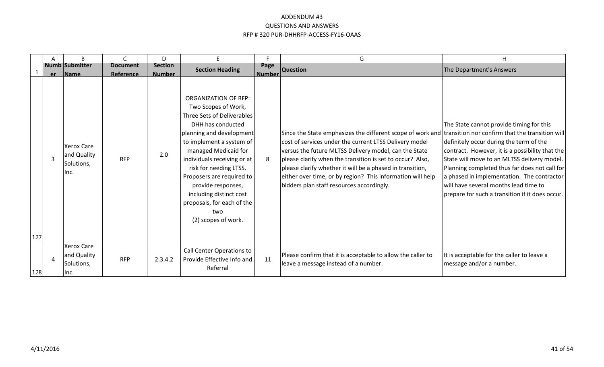|            | A | B                                                       | C                            | D                               | E                                                                                                                                                                                                                                                                                                                                                                                        | Е.             | G                                                                                                                                                                                                                                                                                                                                                                                                                                                                  | H                                                                                                                                                                                                                                                                                                                                                                                |
|------------|---|---------------------------------------------------------|------------------------------|---------------------------------|------------------------------------------------------------------------------------------------------------------------------------------------------------------------------------------------------------------------------------------------------------------------------------------------------------------------------------------------------------------------------------------|----------------|--------------------------------------------------------------------------------------------------------------------------------------------------------------------------------------------------------------------------------------------------------------------------------------------------------------------------------------------------------------------------------------------------------------------------------------------------------------------|----------------------------------------------------------------------------------------------------------------------------------------------------------------------------------------------------------------------------------------------------------------------------------------------------------------------------------------------------------------------------------|
|            |   | <b>Numb Submitter</b><br>er Name                        | <b>Document</b><br>Reference | <b>Section</b><br><b>Number</b> | <b>Section Heading</b>                                                                                                                                                                                                                                                                                                                                                                   | Page<br>Number | <b>Question</b>                                                                                                                                                                                                                                                                                                                                                                                                                                                    | The Department's Answers                                                                                                                                                                                                                                                                                                                                                         |
|            | 3 | <b>Xerox Care</b><br>and Quality<br>Solutions,<br>llnc. | <b>RFP</b>                   | 2.0                             | <b>ORGANIZATION OF RFP:</b><br>Two Scopes of Work,<br>Three Sets of Deliverables<br>DHH has conducted<br>planning and development<br>to implement a system of<br>managed Medicaid for<br>individuals receiving or at<br>risk for needing LTSS.<br>Proposers are required to<br>provide responses,<br>including distinct cost<br>proposals, for each of the<br>two<br>(2) scopes of work. | 8              | Since the State emphasizes the different scope of work and transition nor confirm that the transition will<br>cost of services under the current LTSS Delivery model<br>versus the future MLTSS Delivery model, can the State<br>please clarify when the transition is set to occur? Also,<br>please clarify whether it will be a phased in transition,<br>either over time, or by region? This information will help<br>bidders plan staff resources accordingly. | The State cannot provide timing for this<br>definitely occur during the term of the<br>contract. However, it is a possibility that the<br>State will move to an MLTSS delivery model.<br>Planning completed thus far does not call for<br>a phased in implementation. The contractor<br>will have several months lead time to<br>prepare for such a transition if it does occur. |
| 127<br>128 | 4 | <b>Xerox Care</b><br>and Quality<br>Solutions,<br>llnc. | <b>RFP</b>                   | 2.3.4.2                         | Call Center Operations to<br>Provide Effective Info and<br>Referral                                                                                                                                                                                                                                                                                                                      | 11             | Please confirm that it is acceptable to allow the caller to<br>leave a message instead of a number.                                                                                                                                                                                                                                                                                                                                                                | It is acceptable for the caller to leave a<br>message and/or a number.                                                                                                                                                                                                                                                                                                           |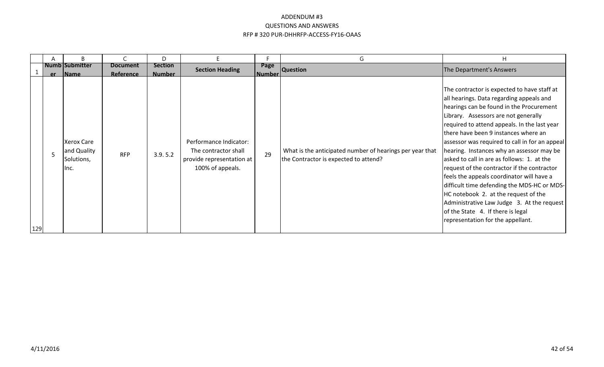|     |    | B                                                      |                              | D                               |                                                                                                 |                       | G                                                                                                 | H                                                                                                                                                                                                                                                                                                                                                                                                                                                                                                                                                                                                                                                                                                                           |
|-----|----|--------------------------------------------------------|------------------------------|---------------------------------|-------------------------------------------------------------------------------------------------|-----------------------|---------------------------------------------------------------------------------------------------|-----------------------------------------------------------------------------------------------------------------------------------------------------------------------------------------------------------------------------------------------------------------------------------------------------------------------------------------------------------------------------------------------------------------------------------------------------------------------------------------------------------------------------------------------------------------------------------------------------------------------------------------------------------------------------------------------------------------------------|
|     | er | Numb Submitter<br><b>IName</b>                         | <b>Document</b><br>Reference | <b>Section</b><br><b>Number</b> | <b>Section Heading</b>                                                                          | Page<br><b>Number</b> | <b>Question</b>                                                                                   | The Department's Answers                                                                                                                                                                                                                                                                                                                                                                                                                                                                                                                                                                                                                                                                                                    |
| 129 | 5  | <b>Xerox Care</b><br>and Quality<br>Solutions,<br>Inc. | <b>RFP</b>                   | 3.9.5.2                         | Performance Indicator:<br>The contractor shall<br>provide representation at<br>100% of appeals. | 29                    | What is the anticipated number of hearings per year that<br>the Contractor is expected to attend? | The contractor is expected to have staff at<br>all hearings. Data regarding appeals and<br>hearings can be found in the Procurement<br>Library. Assessors are not generally<br>required to attend appeals. In the last year<br>there have been 9 instances where an<br>assessor was required to call in for an appeal<br>hearing. Instances why an assessor may be<br>asked to call in are as follows: 1. at the<br>request of the contractor if the contractor<br>feels the appeals coordinator will have a<br>difficult time defending the MDS-HC or MDS-<br>HC notebook 2. at the request of the<br>Administrative Law Judge 3. At the request<br>of the State 4. If there is legal<br>representation for the appellant. |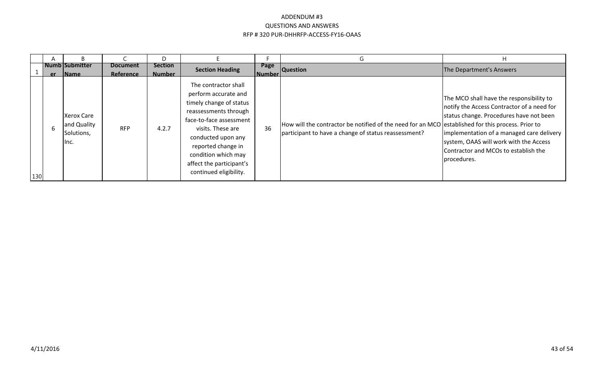|     |   |                                                 |                              | D                               |                                                                                                                                                                                                                                                                           |                       |                                                                                                                                                           |                                                                                                                                                                                                                                                                                  |
|-----|---|-------------------------------------------------|------------------------------|---------------------------------|---------------------------------------------------------------------------------------------------------------------------------------------------------------------------------------------------------------------------------------------------------------------------|-----------------------|-----------------------------------------------------------------------------------------------------------------------------------------------------------|----------------------------------------------------------------------------------------------------------------------------------------------------------------------------------------------------------------------------------------------------------------------------------|
|     |   | <b>Numb Submitter</b><br>er Name                | <b>Document</b><br>Reference | <b>Section</b><br><b>Number</b> | <b>Section Heading</b>                                                                                                                                                                                                                                                    | Page<br><b>Number</b> | <b>Question</b>                                                                                                                                           | The Department's Answers                                                                                                                                                                                                                                                         |
| 130 | h | Xerox Care<br>and Quality<br>Solutions,<br>lnc. | <b>RFP</b>                   | 4.2.7                           | The contractor shall<br>perform accurate and<br>timely change of status<br>reassessments through<br>face-to-face assessment<br>visits. These are<br>conducted upon any<br>reported change in<br>condition which may<br>affect the participant's<br>continued eligibility. | 36                    | How will the contractor be notified of the need for an MCO established for this process. Prior to<br>participant to have a change of status reassessment? | The MCO shall have the responsibility to<br>notify the Access Contractor of a need for<br>status change. Procedures have not been<br>implementation of a managed care delivery<br>system, OAAS will work with the Access<br>Contractor and MCOs to establish the<br>Iprocedures. |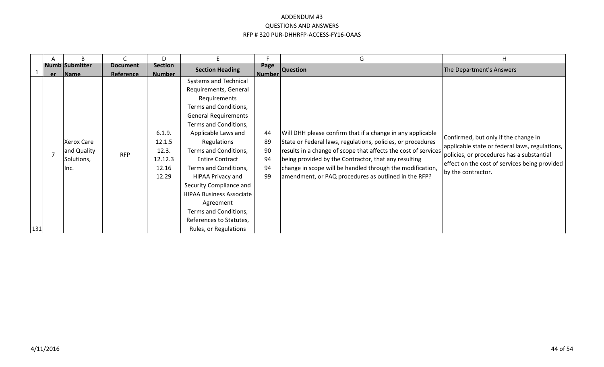|       | A   | B                                                       |                              | D                                                      |                                                                                                                                                                                                                                                                                                                                                                                                                                                       |                                  | G                                                                                                                                                                                                                                                                                                                                                                        | H                                                                                                                                                                                                          |
|-------|-----|---------------------------------------------------------|------------------------------|--------------------------------------------------------|-------------------------------------------------------------------------------------------------------------------------------------------------------------------------------------------------------------------------------------------------------------------------------------------------------------------------------------------------------------------------------------------------------------------------------------------------------|----------------------------------|--------------------------------------------------------------------------------------------------------------------------------------------------------------------------------------------------------------------------------------------------------------------------------------------------------------------------------------------------------------------------|------------------------------------------------------------------------------------------------------------------------------------------------------------------------------------------------------------|
|       | er. | <b>Numb Submitter</b><br><b>Name</b>                    | <b>Document</b><br>Reference | <b>Section</b><br><b>Number</b>                        | <b>Section Heading</b>                                                                                                                                                                                                                                                                                                                                                                                                                                | Page<br><b>Number</b>            | <b>Question</b>                                                                                                                                                                                                                                                                                                                                                          | The Department's Answers                                                                                                                                                                                   |
| $131$ |     | <b>Xerox Care</b><br>and Quality<br>Solutions,<br>IInc. | <b>RFP</b>                   | 6.1.9.<br>12.1.5<br>12.3.<br>12.12.3<br>12.16<br>12.29 | <b>Systems and Technical</b><br>Requirements, General<br>Requirements<br>Terms and Conditions,<br><b>General Requirements</b><br>Terms and Conditions,<br>Applicable Laws and<br>Regulations<br>Terms and Conditions,<br><b>Entire Contract</b><br>Terms and Conditions,<br>HIPAA Privacy and<br>Security Compliance and<br><b>HIPAA Business Associate</b><br>Agreement<br>Terms and Conditions,<br>References to Statutes,<br>Rules, or Regulations | 44<br>89<br>90<br>94<br>94<br>99 | Will DHH please confirm that if a change in any applicable<br>State or Federal laws, regulations, policies, or procedures<br>results in a change of scope that affects the cost of services<br>being provided by the Contractor, that any resulting<br>change in scope will be handled through the modification,<br>amendment, or PAQ procedures as outlined in the RFP? | Confirmed, but only if the change in<br>applicable state or federal laws, regulations,<br>policies, or procedures has a substantial<br>effect on the cost of services being provided<br>by the contractor. |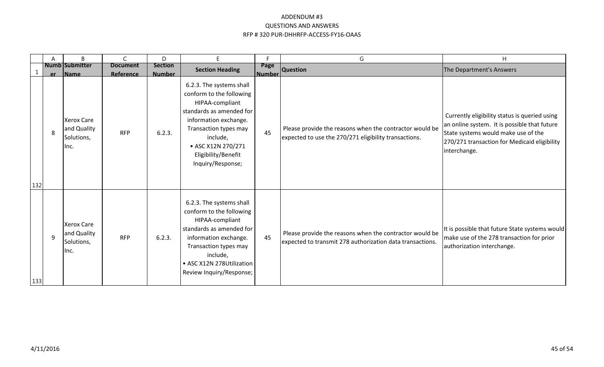|     | A            | B                                                                 |                         | D                       | F                                                                                                                                                                                                                                   | F            | G                                                                                                                    | H                                                                                                                                                                                                    |
|-----|--------------|-------------------------------------------------------------------|-------------------------|-------------------------|-------------------------------------------------------------------------------------------------------------------------------------------------------------------------------------------------------------------------------------|--------------|----------------------------------------------------------------------------------------------------------------------|------------------------------------------------------------------------------------------------------------------------------------------------------------------------------------------------------|
|     |              | <b>Numb Submitter</b>                                             | <b>Document</b>         | <b>Section</b>          | <b>Section Heading</b>                                                                                                                                                                                                              | Page         | <b>Question</b>                                                                                                      | The Department's Answers                                                                                                                                                                             |
| 132 | 8            | er Name<br><b>Xerox Care</b><br>and Quality<br>Solutions,<br>Inc. | Reference<br><b>RFP</b> | <b>Number</b><br>6.2.3. | 6.2.3. The systems shall<br>conform to the following<br>HIPAA-compliant<br>standards as amended for<br>information exchange.<br>Transaction types may<br>include,<br>• ASC X12N 270/271<br>Eligibility/Benefit<br>Inquiry/Response; | Number<br>45 | Please provide the reasons when the contractor would be<br>expected to use the 270/271 eligibility transactions.     | Currently eligibility status is queried using<br>an online system. It is possible that future<br>State systems would make use of the<br>270/271 transaction for Medicaid eligibility<br>interchange. |
| 133 | $\mathsf{q}$ | <b>Xerox Care</b><br>and Quality<br>Solutions,<br>llnc.           | <b>RFP</b>              | 6.2.3.                  | 6.2.3. The systems shall<br>conform to the following<br>HIPAA-compliant<br>standards as amended for<br>information exchange.<br>Transaction types may<br>include,<br>• ASC X12N 278Utilization<br>Review Inquiry/Response;          | 45           | Please provide the reasons when the contractor would be<br>expected to transmit 278 authorization data transactions. | It is possible that future State systems would<br>make use of the 278 transaction for prior<br>authorization interchange.                                                                            |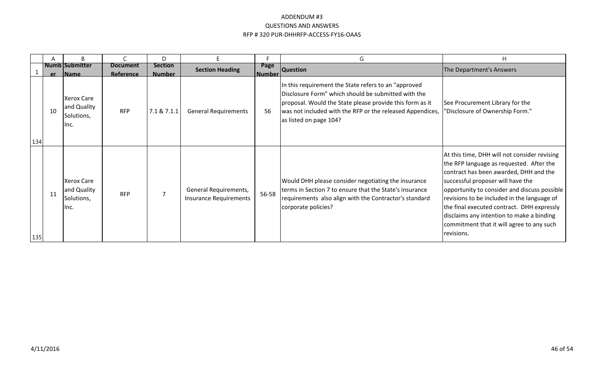|     | А  | B                                                       |                              | D                               |                                                        |                | G                                                                                                                                                                                                                                                               | н                                                                                                                                                                                                                                                                                                                                                                                                                            |
|-----|----|---------------------------------------------------------|------------------------------|---------------------------------|--------------------------------------------------------|----------------|-----------------------------------------------------------------------------------------------------------------------------------------------------------------------------------------------------------------------------------------------------------------|------------------------------------------------------------------------------------------------------------------------------------------------------------------------------------------------------------------------------------------------------------------------------------------------------------------------------------------------------------------------------------------------------------------------------|
|     |    | <b>Numb Submitter</b><br>er Name                        | <b>Document</b><br>Reference | <b>Section</b><br><b>Number</b> | <b>Section Heading</b>                                 | Page<br>Number | <b>Question</b>                                                                                                                                                                                                                                                 | The Department's Answers                                                                                                                                                                                                                                                                                                                                                                                                     |
| 134 | 10 | <b>Xerox Care</b><br>and Quality<br>Solutions,<br>llnc. | <b>RFP</b>                   | 7.1 & 7.1.1                     | <b>General Requirements</b>                            | 56             | In this requirement the State refers to an "approved"<br>Disclosure Form" which should be submitted with the<br>proposal. Would the State please provide this form as it<br>was not included with the RFP or the released Appendices,<br>as listed on page 104? | See Procurement Library for the<br>"Disclosure of Ownership Form."                                                                                                                                                                                                                                                                                                                                                           |
| 135 | 11 | <b>Xerox Care</b><br>and Quality<br>Solutions,<br>llnc. | <b>RFP</b>                   |                                 | General Requirements,<br><b>Insurance Requirements</b> | 56-58          | Would DHH please consider negotiating the insurance<br>terms in Section 7 to ensure that the State's insurance<br>requirements also align with the Contractor's standard<br>corporate policies?                                                                 | At this time, DHH will not consider revising<br>the RFP language as requested. After the<br>contract has been awarded, DHH and the<br>successful proposer will have the<br>opportunity to consider and discuss possible<br>revisions to be included in the language of<br>the final executed contract. DHH expressly<br>disclaims any intention to make a binding<br>commitment that it will agree to any such<br>revisions. |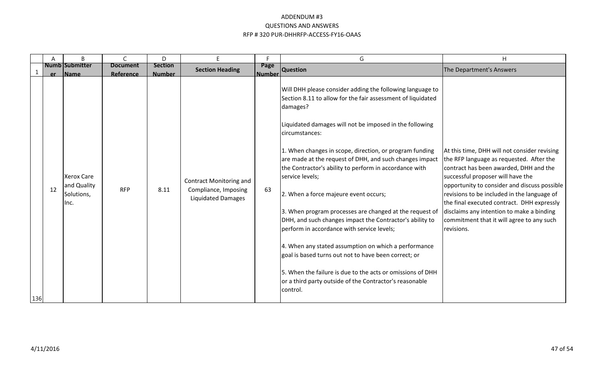|     | A        | $\sf B$                                                                | C                       | D                     | E.                                                                                  | F.                  | G                                                                                                                                                                                                                                                                                                                                                                                                                                                                                                                                                                                                                                                                                                                                                                                                                                                                                       | H                                                                                                                                                                                                                                                                                                                                                                                                                            |
|-----|----------|------------------------------------------------------------------------|-------------------------|-----------------------|-------------------------------------------------------------------------------------|---------------------|-----------------------------------------------------------------------------------------------------------------------------------------------------------------------------------------------------------------------------------------------------------------------------------------------------------------------------------------------------------------------------------------------------------------------------------------------------------------------------------------------------------------------------------------------------------------------------------------------------------------------------------------------------------------------------------------------------------------------------------------------------------------------------------------------------------------------------------------------------------------------------------------|------------------------------------------------------------------------------------------------------------------------------------------------------------------------------------------------------------------------------------------------------------------------------------------------------------------------------------------------------------------------------------------------------------------------------|
|     |          | Numb Submitter                                                         | <b>Document</b>         | <b>Section</b>        | <b>Section Heading</b>                                                              | Page                | Question                                                                                                                                                                                                                                                                                                                                                                                                                                                                                                                                                                                                                                                                                                                                                                                                                                                                                | The Department's Answers                                                                                                                                                                                                                                                                                                                                                                                                     |
| 136 | er<br>12 | <b>Name</b><br><b>Xerox Care</b><br>and Quality<br>Solutions,<br>llnc. | Reference<br><b>RFP</b> | <b>Number</b><br>8.11 | <b>Contract Monitoring and</b><br>Compliance, Imposing<br><b>Liquidated Damages</b> | <b>Number</b><br>63 | Will DHH please consider adding the following language to<br>Section 8.11 to allow for the fair assessment of liquidated<br>damages?<br>Liquidated damages will not be imposed in the following<br>circumstances:<br>1. When changes in scope, direction, or program funding<br>are made at the request of DHH, and such changes impact<br>the Contractor's ability to perform in accordance with<br>service levels;<br>2. When a force majeure event occurs;<br>3. When program processes are changed at the request of<br>DHH, and such changes impact the Contractor's ability to<br>perform in accordance with service levels;<br>4. When any stated assumption on which a performance<br>goal is based turns out not to have been correct; or<br>5. When the failure is due to the acts or omissions of DHH<br>or a third party outside of the Contractor's reasonable<br>control. | At this time, DHH will not consider revising<br>the RFP language as requested. After the<br>contract has been awarded, DHH and the<br>successful proposer will have the<br>opportunity to consider and discuss possible<br>revisions to be included in the language of<br>the final executed contract. DHH expressly<br>disclaims any intention to make a binding<br>commitment that it will agree to any such<br>revisions. |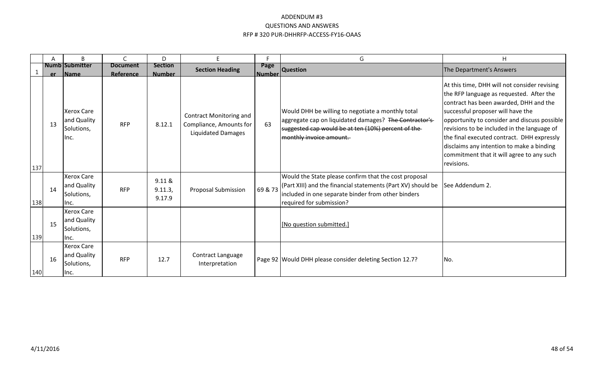|     | A  | B                                                       | C                            | D                               | E.                                                                                     | F.                    | G                                                                                                                                                                                                       | H                                                                                                                                                                                                                                                                                                                                                                                                                            |
|-----|----|---------------------------------------------------------|------------------------------|---------------------------------|----------------------------------------------------------------------------------------|-----------------------|---------------------------------------------------------------------------------------------------------------------------------------------------------------------------------------------------------|------------------------------------------------------------------------------------------------------------------------------------------------------------------------------------------------------------------------------------------------------------------------------------------------------------------------------------------------------------------------------------------------------------------------------|
|     | er | <b>Numb Submitter</b><br><b>Name</b>                    | <b>Document</b><br>Reference | <b>Section</b><br><b>Number</b> | <b>Section Heading</b>                                                                 | Page<br><b>Number</b> | <b>Question</b>                                                                                                                                                                                         | The Department's Answers                                                                                                                                                                                                                                                                                                                                                                                                     |
| 137 | 13 | <b>Xerox Care</b><br>and Quality<br>Solutions,<br>llnc. | <b>RFP</b>                   | 8.12.1                          | <b>Contract Monitoring and</b><br>Compliance, Amounts for<br><b>Liquidated Damages</b> | 63                    | Would DHH be willing to negotiate a monthly total<br>aggregate cap on liquidated damages? The Contractor's<br>suggested cap would be at ten (10%) percent of the-<br>monthly invoice amount.            | At this time, DHH will not consider revising<br>the RFP language as requested. After the<br>contract has been awarded, DHH and the<br>successful proposer will have the<br>opportunity to consider and discuss possible<br>revisions to be included in the language of<br>the final executed contract. DHH expressly<br>disclaims any intention to make a binding<br>commitment that it will agree to any such<br>revisions. |
| 138 | 14 | <b>Xerox Care</b><br>and Quality<br>Solutions,<br>llnc. | <b>RFP</b>                   | 9.11 &<br>9.11.3,<br>9.17.9     | <b>Proposal Submission</b>                                                             | 69 & 73               | Would the State please confirm that the cost proposal<br>(Part XIII) and the financial statements (Part XV) should be<br>included in one separate binder from other binders<br>required for submission? | See Addendum 2.                                                                                                                                                                                                                                                                                                                                                                                                              |
| 139 | 15 | <b>Xerox Care</b><br>and Quality<br>Solutions,<br>llnc. |                              |                                 |                                                                                        |                       | [No question submitted.]                                                                                                                                                                                |                                                                                                                                                                                                                                                                                                                                                                                                                              |
| 140 | 16 | <b>Xerox Care</b><br>and Quality<br>Solutions,<br>Ilnc. | <b>RFP</b>                   | 12.7                            | Contract Language<br>Interpretation                                                    |                       | Page 92 Would DHH please consider deleting Section 12.7?                                                                                                                                                | INo.                                                                                                                                                                                                                                                                                                                                                                                                                         |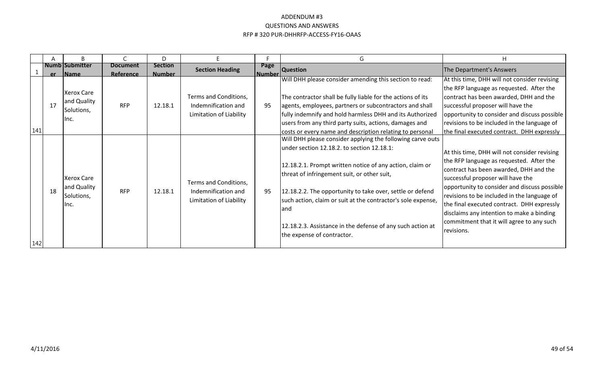|     |    | B                                                       |                              | D                               | E.                                                                      |                           | G                                                                                                                                                                                                                                                                                                                                                                                                                                                    | H                                                                                                                                                                                                                                                                                                                                                                                                                             |
|-----|----|---------------------------------------------------------|------------------------------|---------------------------------|-------------------------------------------------------------------------|---------------------------|------------------------------------------------------------------------------------------------------------------------------------------------------------------------------------------------------------------------------------------------------------------------------------------------------------------------------------------------------------------------------------------------------------------------------------------------------|-------------------------------------------------------------------------------------------------------------------------------------------------------------------------------------------------------------------------------------------------------------------------------------------------------------------------------------------------------------------------------------------------------------------------------|
|     |    | Numb Submitter<br>er Name                               | <b>Document</b><br>Reference | <b>Section</b><br><b>Number</b> | <b>Section Heading</b>                                                  | Page<br><u>l Number l</u> | <b>Question</b>                                                                                                                                                                                                                                                                                                                                                                                                                                      | The Department's Answers                                                                                                                                                                                                                                                                                                                                                                                                      |
| 141 | 17 | <b>Xerox Care</b><br>and Quality<br>Solutions,<br>llnc. | <b>RFP</b>                   | 12.18.1                         | Terms and Conditions,<br>Indemnification and<br>Limitation of Liability | 95                        | Will DHH please consider amending this section to read:<br>The contractor shall be fully liable for the actions of its<br>agents, employees, partners or subcontractors and shall<br>fully indemnify and hold harmless DHH and its Authorized<br>users from any third party suits, actions, damages and<br>costs or every name and description relating to personal                                                                                  | At this time, DHH will not consider revising<br>the RFP language as requested. After the<br>contract has been awarded, DHH and the<br>successful proposer will have the<br>opportunity to consider and discuss possible<br>revisions to be included in the language of<br>the final executed contract. DHH expressly                                                                                                          |
| 142 | 18 | <b>Xerox Care</b><br>and Quality<br>Solutions,<br>llnc. | <b>RFP</b>                   | 12.18.1                         | Terms and Conditions,<br>Indemnification and<br>Limitation of Liability | 95                        | Will DHH please consider applying the following carve outs<br>under section 12.18.2. to section 12.18.1:<br>12.18.2.1. Prompt written notice of any action, claim or<br>threat of infringement suit, or other suit,<br>12.18.2.2. The opportunity to take over, settle or defend<br>such action, claim or suit at the contractor's sole expense,<br>land<br>12.18.2.3. Assistance in the defense of any such action at<br>the expense of contractor. | At this time, DHH will not consider revising<br>the RFP language as requested. After the<br>contract has been awarded, DHH and the<br>successful proposer will have the<br>opportunity to consider and discuss possible<br>revisions to be included in the language of<br>the final executed contract. DHH expressly<br>disclaims any intention to make a binding<br>commitment that it will agree to any such<br>Irevisions. |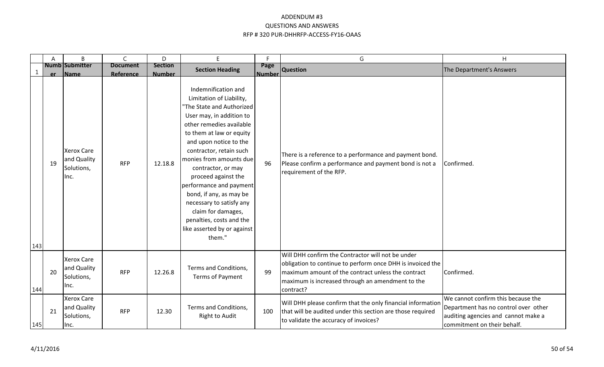|     | Α  | B                                                      | $\mathsf{C}$                 | D                               | E                                                                                                                                                                                                                                                                                                                                                                                                                                                                          | F.                    | G                                                                                                                                                                                                                                      | H                                                                                                                                                |
|-----|----|--------------------------------------------------------|------------------------------|---------------------------------|----------------------------------------------------------------------------------------------------------------------------------------------------------------------------------------------------------------------------------------------------------------------------------------------------------------------------------------------------------------------------------------------------------------------------------------------------------------------------|-----------------------|----------------------------------------------------------------------------------------------------------------------------------------------------------------------------------------------------------------------------------------|--------------------------------------------------------------------------------------------------------------------------------------------------|
|     | er | <b>Numb Submitter</b><br>Name                          | <b>Document</b><br>Reference | <b>Section</b><br><b>Number</b> | <b>Section Heading</b>                                                                                                                                                                                                                                                                                                                                                                                                                                                     | Page<br><b>Number</b> | <b>Question</b>                                                                                                                                                                                                                        | The Department's Answers                                                                                                                         |
| 143 | 19 | <b>Xerox Care</b><br>and Quality<br>Solutions,<br>Inc. | <b>RFP</b>                   | 12.18.8                         | Indemnification and<br>Limitation of Liability,<br>'The State and Authorized<br>User may, in addition to<br>other remedies available<br>to them at law or equity<br>and upon notice to the<br>contractor, retain such<br>monies from amounts due<br>contractor, or may<br>proceed against the<br>performance and payment<br>bond, if any, as may be<br>necessary to satisfy any<br>claim for damages,<br>penalties, costs and the<br>like asserted by or against<br>them." | 96                    | There is a reference to a performance and payment bond.<br>Please confirm a performance and payment bond is not a<br>requirement of the RFP.                                                                                           | Confirmed.                                                                                                                                       |
| 144 | 20 | <b>Xerox Care</b><br>and Quality<br>Solutions,<br>Inc. | <b>RFP</b>                   | 12.26.8                         | Terms and Conditions,<br>Terms of Payment                                                                                                                                                                                                                                                                                                                                                                                                                                  | 99                    | Will DHH confirm the Contractor will not be under<br>obligation to continue to perform once DHH is invoiced the<br>maximum amount of the contract unless the contract<br>maximum is increased through an amendment to the<br>contract? | Confirmed.                                                                                                                                       |
| 145 | 21 | <b>Xerox Care</b><br>and Quality<br>Solutions,<br>Inc. | <b>RFP</b>                   | 12.30                           | Terms and Conditions,<br><b>Right to Audit</b>                                                                                                                                                                                                                                                                                                                                                                                                                             | 100                   | Will DHH please confirm that the only financial information<br>that will be audited under this section are those required<br>to validate the accuracy of invoices?                                                                     | We cannot confirm this because the<br>Department has no control over other<br>auditing agencies and cannot make a<br>commitment on their behalf. |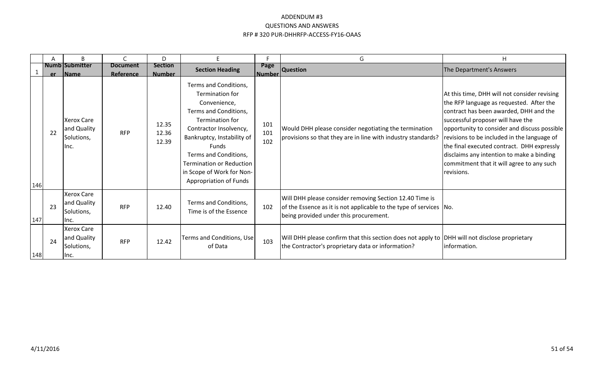|     | A  | B                                                       | C                            | D                               | F.                                                                                                                                                                                                                                                                                              | Е                     | G                                                                                                                                                                       | H                                                                                                                                                                                                                                                                                                                                                                                                                            |
|-----|----|---------------------------------------------------------|------------------------------|---------------------------------|-------------------------------------------------------------------------------------------------------------------------------------------------------------------------------------------------------------------------------------------------------------------------------------------------|-----------------------|-------------------------------------------------------------------------------------------------------------------------------------------------------------------------|------------------------------------------------------------------------------------------------------------------------------------------------------------------------------------------------------------------------------------------------------------------------------------------------------------------------------------------------------------------------------------------------------------------------------|
|     |    | <b>Numb Submitter</b><br>er Name                        | <b>Document</b><br>Reference | <b>Section</b><br><b>Number</b> | <b>Section Heading</b>                                                                                                                                                                                                                                                                          | Page<br><b>Number</b> | <b>Question</b>                                                                                                                                                         | The Department's Answers                                                                                                                                                                                                                                                                                                                                                                                                     |
| 146 | 22 | <b>Xerox Care</b><br>and Quality<br>Solutions,<br>llnc. | <b>RFP</b>                   | 12.35<br>12.36<br>12.39         | Terms and Conditions,<br><b>Termination for</b><br>Convenience,<br>Terms and Conditions,<br>Termination for<br>Contractor Insolvency,<br>Bankruptcy, Instability of<br>Funds<br>Terms and Conditions,<br><b>Termination or Reduction</b><br>in Scope of Work for Non-<br>Appropriation of Funds | 101<br>101<br>102     | Would DHH please consider negotiating the termination<br>provisions so that they are in line with industry standards?                                                   | At this time, DHH will not consider revising<br>the RFP language as requested. After the<br>contract has been awarded, DHH and the<br>successful proposer will have the<br>opportunity to consider and discuss possible<br>revisions to be included in the language of<br>the final executed contract. DHH expressly<br>disclaims any intention to make a binding<br>commitment that it will agree to any such<br>revisions. |
| 147 | 23 | <b>Xerox Care</b><br>and Quality<br>Solutions,<br>llnc. | <b>RFP</b>                   | 12.40                           | Terms and Conditions,<br>Time is of the Essence                                                                                                                                                                                                                                                 | 102                   | Will DHH please consider removing Section 12.40 Time is<br>of the Essence as it is not applicable to the type of services No.<br>being provided under this procurement. |                                                                                                                                                                                                                                                                                                                                                                                                                              |
| 148 | 24 | <b>Xerox Care</b><br>and Quality<br>Solutions,<br>llnc. | <b>RFP</b>                   | 12.42                           | Terms and Conditions, Use<br>of Data                                                                                                                                                                                                                                                            | 103                   | Will DHH please confirm that this section does not apply to DHH will not disclose proprietary<br>the Contractor's proprietary data or information?                      | information.                                                                                                                                                                                                                                                                                                                                                                                                                 |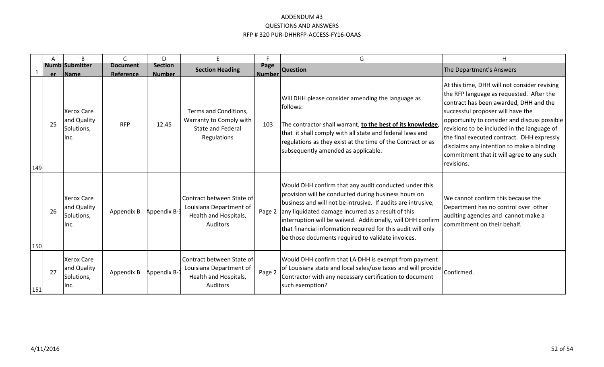|     | A        | B                                                                      |                         | D                      | E                                                                                                | F                     | G                                                                                                                                                                                                                                                                                                                                                                                                                       | H                                                                                                                                                                                                                                                                                                                                                                                                                            |
|-----|----------|------------------------------------------------------------------------|-------------------------|------------------------|--------------------------------------------------------------------------------------------------|-----------------------|-------------------------------------------------------------------------------------------------------------------------------------------------------------------------------------------------------------------------------------------------------------------------------------------------------------------------------------------------------------------------------------------------------------------------|------------------------------------------------------------------------------------------------------------------------------------------------------------------------------------------------------------------------------------------------------------------------------------------------------------------------------------------------------------------------------------------------------------------------------|
|     |          | Numb Submitter                                                         | <b>Document</b>         | <b>Section</b>         | <b>Section Heading</b>                                                                           | Page                  | <b>Question</b>                                                                                                                                                                                                                                                                                                                                                                                                         | The Department's Answers                                                                                                                                                                                                                                                                                                                                                                                                     |
| 149 | er<br>25 | <b>Name</b><br><b>Xerox Care</b><br>and Quality<br>Solutions,<br>llnc. | Reference<br><b>RFP</b> | <b>Number</b><br>12.45 | Terms and Conditions,<br>Warranty to Comply with<br><b>State and Federal</b><br>Regulations      | <u> Number</u><br>103 | Will DHH please consider amending the language as<br>follows:<br>The contractor shall warrant, to the best of its knowledge,<br>that it shall comply with all state and federal laws and<br>regulations as they exist at the time of the Contract or as<br>subsequently amended as applicable.                                                                                                                          | At this time, DHH will not consider revising<br>the RFP language as requested. After the<br>contract has been awarded, DHH and the<br>successful proposer will have the<br>opportunity to consider and discuss possible<br>revisions to be included in the language of<br>the final executed contract. DHH expressly<br>disclaims any intention to make a binding<br>commitment that it will agree to any such<br>revisions. |
| 150 | 26       | <b>Xerox Care</b><br>and Quality<br>Solutions,<br>llnc.                | Appendix B              | Appendix B-3           | Contract between State of<br>Louisiana Department of<br>Health and Hospitals,<br>Auditors        | Page 2                | Would DHH confirm that any audit conducted under this<br>provision will be conducted during business hours on<br>business and will not be intrusive. If audits are intrusive,<br>any liquidated damage incurred as a result of this<br>interruption will be waived. Additionally, will DHH confirm<br>that financial information required for this audit will only<br>be those documents required to validate invoices. | We cannot confirm this because the<br>Department has no control over other<br>auditing agencies and cannot make a<br>commitment on their behalf.                                                                                                                                                                                                                                                                             |
| 151 | 27       | <b>Xerox Care</b><br>and Quality<br>Solutions,<br>llnc.                | Appendix B              | Appendix B-            | Contract between State of<br>Louisiana Department of<br>Health and Hospitals,<br><b>Auditors</b> | Page 2                | Would DHH confirm that LA DHH is exempt from payment<br>of Louisiana state and local sales/use taxes and will provide   Confirmed.<br>Contractor with any necessary certification to document<br>such exemption?                                                                                                                                                                                                        |                                                                                                                                                                                                                                                                                                                                                                                                                              |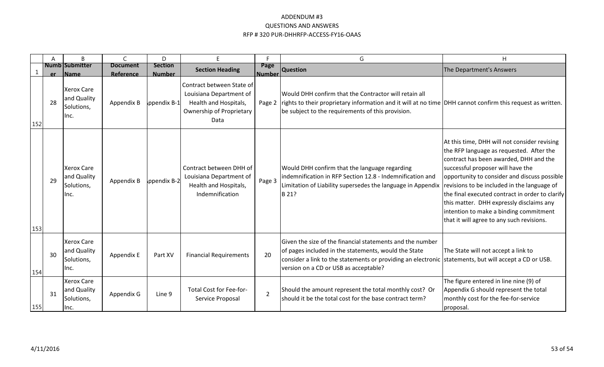|     | A   | B                                                      |                              | D                               | F                                                                                                                 |                       | G                                                                                                                                                                                                                                                                   | Η                                                                                                                                                                                                                                                                                                                                                                                                                                                            |
|-----|-----|--------------------------------------------------------|------------------------------|---------------------------------|-------------------------------------------------------------------------------------------------------------------|-----------------------|---------------------------------------------------------------------------------------------------------------------------------------------------------------------------------------------------------------------------------------------------------------------|--------------------------------------------------------------------------------------------------------------------------------------------------------------------------------------------------------------------------------------------------------------------------------------------------------------------------------------------------------------------------------------------------------------------------------------------------------------|
|     | er. | <b>Numb Submitter</b><br><b>Name</b>                   | <b>Document</b><br>Reference | <b>Section</b><br><b>Number</b> | <b>Section Heading</b>                                                                                            | Page<br><b>Number</b> | <b>Question</b>                                                                                                                                                                                                                                                     | The Department's Answers                                                                                                                                                                                                                                                                                                                                                                                                                                     |
| 152 | 28  | <b>Xerox Care</b><br>and Quality<br>Solutions,<br>Inc. | Appendix B                   | ppendix B-1                     | Contract between State of<br>Louisiana Department of<br>Health and Hospitals,<br>Ownership of Proprietary<br>Data |                       | Would DHH confirm that the Contractor will retain all<br>Page 2   rights to their proprietary information and it will at no time   DHH cannot confirm this request as written.<br>be subject to the requirements of this provision.                                 |                                                                                                                                                                                                                                                                                                                                                                                                                                                              |
| 153 | 29  | <b>Xerox Care</b><br>and Quality<br>Solutions,<br>Inc. | Appendix B                   | ppendix B-2                     | Contract between DHH of<br>Louisiana Department of<br>Health and Hospitals,<br>Indemnification                    | Page 3                | Would DHH confirm that the language regarding<br>indemnification in RFP Section 12.8 - Indemnification and<br>Limitation of Liability supersedes the language in Appendix<br>B 21?                                                                                  | At this time, DHH will not consider revising<br>the RFP language as requested. After the<br>contract has been awarded, DHH and the<br>successful proposer will have the<br>opportunity to consider and discuss possible<br>revisions to be included in the language of<br>the final executed contract in order to clarify<br>this matter. DHH expressly disclaims any<br>intention to make a binding commitment<br>that it will agree to any such revisions. |
| 154 | 30  | <b>Xerox Care</b><br>and Quality<br>Solutions,<br>Inc. | Appendix E                   | Part XV                         | <b>Financial Requirements</b>                                                                                     | 20                    | Given the size of the financial statements and the number<br>of pages included in the statements, would the State<br>consider a link to the statements or providing an electronic statements, but will accept a CD or USB.<br>version on a CD or USB as acceptable? | The State will not accept a link to                                                                                                                                                                                                                                                                                                                                                                                                                          |
| 155 | 31  | <b>Xerox Care</b><br>and Quality<br>Solutions,<br>Inc. | Appendix G                   | Line 9                          | Total Cost for Fee-for-<br>Service Proposal                                                                       | $\overline{2}$        | Should the amount represent the total monthly cost? Or<br>should it be the total cost for the base contract term?                                                                                                                                                   | The figure entered in line nine (9) of<br>Appendix G should represent the total<br>monthly cost for the fee-for-service<br>proposal.                                                                                                                                                                                                                                                                                                                         |